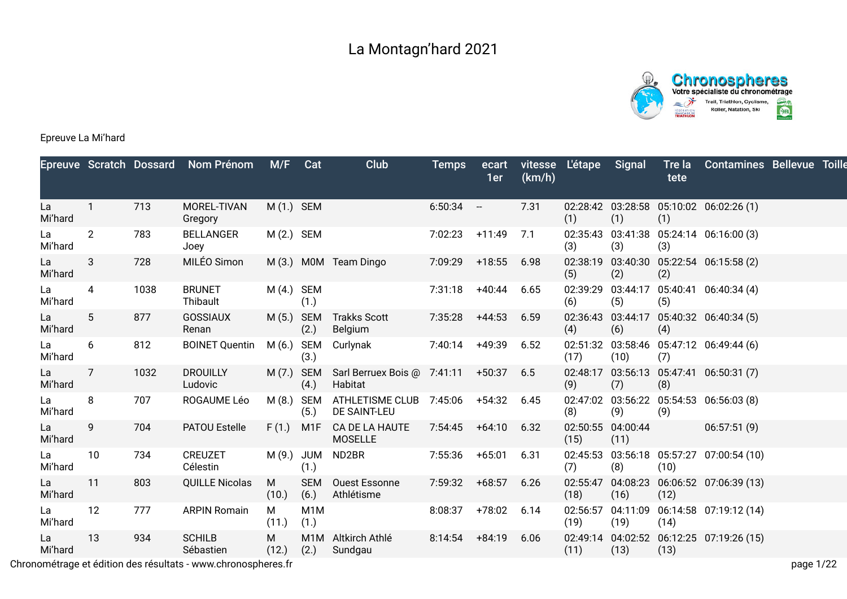



## Epreuve La Mi'hard

|               |                 |      | Epreuve Scratch Dossard Nom Prénom M/F Cat |                     |                          | Club                                                           | <b>Temps</b>       | ecart<br>1er | (km/h) | vitesse L'étape Signal |                           | tete | Tre la Contamines Bellevue Toille        |  |
|---------------|-----------------|------|--------------------------------------------|---------------------|--------------------------|----------------------------------------------------------------|--------------------|--------------|--------|------------------------|---------------------------|------|------------------------------------------|--|
| La<br>Mi'hard | $\mathbf{1}$    | 713  | MOREL-TIVAN<br>Gregory                     | $M(1.)$ SEM         |                          |                                                                | $6:50:34 -$        |              | 7.31   | (1)                    | (1)                       | (1)  | 02:28:42 03:28:58 05:10:02 06:02:26 (1)  |  |
| La<br>Mi'hard | $\overline{2}$  | 783  | <b>BELLANGER</b><br>Joey                   | $M(2.)$ SEM         |                          |                                                                | 7:02:23 +11:49 7.1 |              |        | (3)                    | (3)                       | (3)  | 02:35:43 03:41:38 05:24:14 06:16:00 (3)  |  |
| La<br>Mi'hard | $\mathbf{3}$    | 728  | MILÉO Simon                                |                     |                          | M (3.) M0M Team Dingo                                          | 7:09:29 +18:55     |              | 6.98   | (5)                    | (2)                       | (2)  | 02:38:19 03:40:30 05:22:54 06:15:58 (2)  |  |
| La<br>Mi'hard | $\overline{4}$  | 1038 | <b>BRUNET</b><br>Thibault                  | M (4.) SEM          | (1.)                     |                                                                | $7:31:18$ +40:44   |              | 6.65   | (6)                    | (5)                       | (5)  | 02:39:29 03:44:17 05:40:41 06:40:34 (4)  |  |
| La<br>Mi'hard | $5\overline{)}$ | 877  | <b>GOSSIAUX</b><br>Renan                   |                     | (2.)                     | M (5.) SEM Trakks Scott<br>Belgium                             | 7:35:28 +44:53     |              | 6.59   | (4)                    | (6)                       | (4)  | 02:36:43 03:44:17 05:40:32 06:40:34 (5)  |  |
| La<br>Mi'hard | 6               | 812  | <b>BOINET Quentin</b>                      |                     | (3.)                     | M (6.) SEM Curlynak                                            | 7:40:14 +49:39     |              | 6.52   | (17)                   | (10)                      | (7)  | 02:51:32 03:58:46 05:47:12 06:49:44 (6)  |  |
| La<br>Mi'hard | $\overline{7}$  | 1032 | <b>DROUILLY</b><br>Ludovic                 |                     | (4.)                     | M (7.) SEM Sarl Berruex Bois @ 7:41:11 +50:37 6.5<br>Habitat   |                    |              |        | (9)                    | (7)                       | (8)  | 02:48:17 03:56:13 05:47:41 06:50:31 (7)  |  |
| La<br>Mi'hard | 8               | 707  | ROGAUME Léo                                |                     | (5.)                     | M (8.) SEM ATHLETISME CLUB 7:45:06 +54:32 6.45<br>DE SAINT-LEU |                    |              |        | (8)                    | (9)                       | (9)  | 02:47:02 03:56:22 05:54:53 06:56:03 (8)  |  |
| La<br>Mi'hard | 9               | 704  | PATOU Estelle                              | F(1.)               | M1F                      | CA DE LA HAUTE<br><b>MOSELLE</b>                               | $7:54:45$ +64:10   |              | 6.32   | (15)                   | 02:50:55 04:00:44<br>(11) |      | 06:57:51(9)                              |  |
| La<br>Mi'hard | 10              | 734  | <b>CREUZET</b><br>Célestin                 |                     | (1.)                     | M (9.) JUM ND2BR                                               | 7:55:36 +65:01     |              | 6.31   | (7)                    | (8)                       | (10) | 02:45:53 03:56:18 05:57:27 07:00:54 (10) |  |
| La<br>Mi'hard | 11              | 803  | <b>QUILLE Nicolas</b>                      | M<br>(10.)          | <b>SEM</b><br>(6.)       | Ouest Essonne<br>Athlétisme                                    | 7:59:32 +68:57     |              | 6.26   | (18)                   | 02:55:47 04:08:23<br>(16) | (12) | 06:06:52 07:06:39 (13)                   |  |
| La<br>Mi'hard | 12              | 777  | <b>ARPIN Romain</b>                        | M<br>(11.)          | M <sub>1</sub> M<br>(1.) |                                                                | 8:08:37            | $+78:02$     | 6.14   | 02:56:57<br>(19)       | (19)                      | (14) | 04:11:09  06:14:58  07:19:12  (14)       |  |
| La<br>Mi'hard | 13              | 934  | <b>SCHILB</b><br>Sébastien                 | M<br>$(12.)$ $(2.)$ |                          | M1M Altkirch Athlé<br>Sundgau                                  | 8:14:54            | $+84:19$     | 6.06   | (11)                   | (13)                      | (13) | 02:49:14 04:02:52 06:12:25 07:19:26 (15) |  |
|               |                 |      |                                            |                     |                          |                                                                |                    |              |        |                        |                           |      |                                          |  |

Chronométrage et édition des résultats - www.chronospheres.fr page 1/22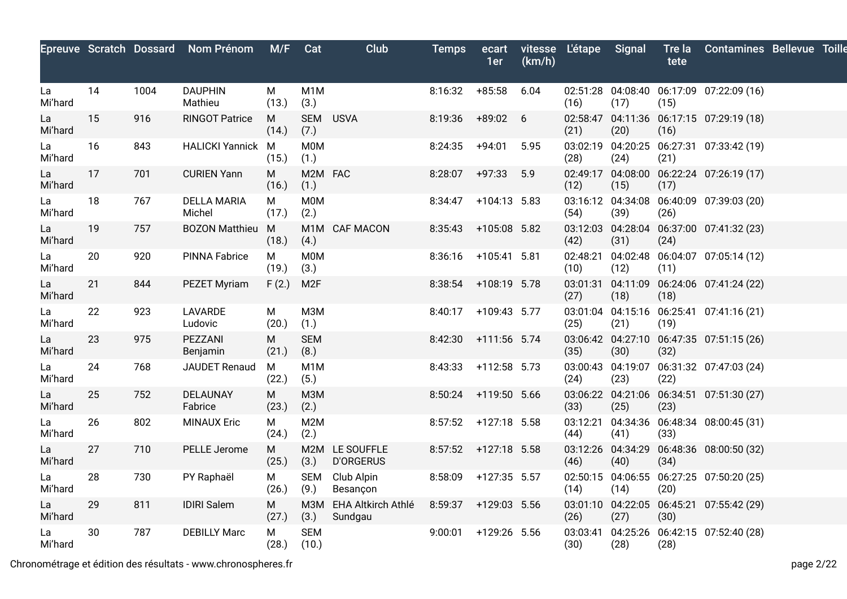|               |    |      | Epreuve Scratch Dossard Nom Prénom | M/F        | Cat                      | <b>Club</b>                        | <b>Temps</b>         | ecart<br>1er | (km/h) | vitesse L'étape Signal |      | Tre la<br>tete | <b>Contamines Bellevue Toille</b>            |  |
|---------------|----|------|------------------------------------|------------|--------------------------|------------------------------------|----------------------|--------------|--------|------------------------|------|----------------|----------------------------------------------|--|
| La<br>Mi'hard | 14 | 1004 | <b>DAUPHIN</b><br>Mathieu          | М<br>(13.) | M <sub>1</sub> M<br>(3.) |                                    | 8:16:32              | $+85:58$     | 6.04   | (16)                   | (17) | (15)           | 02:51:28 04:08:40 06:17:09 07:22:09 (16)     |  |
| La<br>Mi'hard | 15 | 916  | <b>RINGOT Patrice</b>              | M<br>(14.) | SEM USVA<br>(7.)         |                                    | 8:19:36              | $+89:02$ 6   |        | (21)                   | (20) | (16)           | 02:58:47 04:11:36 06:17:15 07:29:19 (18)     |  |
| La<br>Mi'hard | 16 | 843  | <b>HALICKI Yannick M</b>           | (15.)      | <b>M0M</b><br>(1.)       |                                    | 8:24:35              | $+94:01$     | 5.95   | (28)                   | (24) | (21)           | 03:02:19 04:20:25 06:27:31 07:33:42 (19)     |  |
| La<br>Mi'hard | 17 | 701  | <b>CURIEN Yann</b>                 | М<br>(16.) | M2M FAC<br>(1.)          |                                    | 8:28:07              | $+97:33$     | 5.9    | (12)                   | (15) | (17)           | 02:49:17 04:08:00 06:22:24 07:26:19 (17)     |  |
| La<br>Mi'hard | 18 | 767  | <b>DELLA MARIA</b><br>Michel       | М<br>(17.) | <b>M0M</b><br>(2.)       |                                    | 8:34:47              | +104:13 5.83 |        | (54)                   | (39) | (26)           | 03:16:12 04:34:08 06:40:09 07:39:03 (20)     |  |
| La<br>Mi'hard | 19 | 757  | <b>BOZON Matthieu M</b>            | (18.)      | (4.)                     | M1M CAF MACON                      | 8:35:43              | +105:08 5.82 |        | (42)                   | (31) | (24)           | 03:12:03  04:28:04  06:37:00  07:41:32  (23) |  |
| La<br>Mi'hard | 20 | 920  | <b>PINNA Fabrice</b>               | M<br>(19.) | <b>M0M</b><br>(3.)       |                                    | 8:36:16 +105:41 5.81 |              |        | 02:48:21<br>(10)       | (12) | (11)           | 04:02:48  06:04:07  07:05:14  (12)           |  |
| La<br>Mi'hard | 21 | 844  | <b>PEZET Myriam</b>                | F(2.)      | M2F                      |                                    | 8:38:54              | +108:19 5.78 |        | (27)                   | (18) | (18)           | 03:01:31  04:11:09  06:24:06  07:41:24  (22) |  |
| La<br>Mi'hard | 22 | 923  | LAVARDE<br>Ludovic                 | М<br>(20.) | МЗМ<br>(1.)              |                                    | 8:40:17 +109:43 5.77 |              |        | (25)                   | (21) | (19)           | 03:01:04  04:15:16  06:25:41  07:41:16  (21) |  |
| La<br>Mi'hard | 23 | 975  | PEZZANI<br>Benjamin                | M<br>(21.) | <b>SEM</b><br>(8.)       |                                    | 8:42:30 +111:56 5.74 |              |        | (35)                   | (30) | (32)           | 03:06:42 04:27:10 06:47:35 07:51:15 (26)     |  |
| La<br>Mi'hard | 24 | 768  | JAUDET Renaud                      | M<br>(22.) | M1M<br>(5.)              |                                    | 8:43:33              | +112:58 5.73 |        | (24)                   | (23) | (22)           | 03:00:43  04:19:07  06:31:32  07:47:03  (24) |  |
| La<br>Mi'hard | 25 | 752  | DELAUNAY<br>Fabrice                | М<br>(23.) | МЗМ<br>(2.)              |                                    | 8:50:24 +119:50 5.66 |              |        | (33)                   | (25) | (23)           | 03:06:22 04:21:06 06:34:51 07:51:30 (27)     |  |
| La<br>Mi'hard | 26 | 802  | <b>MINAUX Eric</b>                 | М<br>(24.) | M2M<br>(2.)              |                                    | 8:57:52 +127:18 5.58 |              |        | 03:12:21<br>(44)       | (41) | (33)           | 04:34:36 06:48:34 08:00:45 (31)              |  |
| La<br>Mi'hard | 27 | 710  | PELLE Jerome                       | M<br>(25.) | (3.)                     | M2M LE SOUFFLE<br><b>D'ORGERUS</b> | 8:57:52 +127:18 5.58 |              |        | (46)                   | (40) | (34)           | 03:12:26 04:34:29 06:48:36 08:00:50 (32)     |  |
| La<br>Mi'hard | 28 | 730  | PY Raphaël                         | М<br>(26.) | SEM<br>(9.)              | Club Alpin<br>Besançon             | 8:58:09              | +127:35 5.57 |        | (14)                   | (14) | (20)           | 02:50:15 04:06:55 06:27:25 07:50:20 (25)     |  |
| La<br>Mi'hard | 29 | 811  | <b>IDIRI Salem</b>                 | М<br>(27.) | (3.)                     | M3M EHA Altkirch Athlé<br>Sundgau  | 8:59:37 +129:03 5.56 |              |        | (26)                   | (27) | (30)           | 03:01:10  04:22:05  06:45:21  07:55:42  (29) |  |
| La<br>Mi'hard | 30 | 787  | <b>DEBILLY Marc</b>                | М<br>(28.) | <b>SEM</b><br>(10.)      |                                    | 9:00:01              | +129:26 5.56 |        | 03:03:41<br>(30)       | (28) | (28)           | 04:25:26 06:42:15 07:52:40 (28)              |  |

Chronométrage et édition des résultats - www.chronospheres.fr page 2/22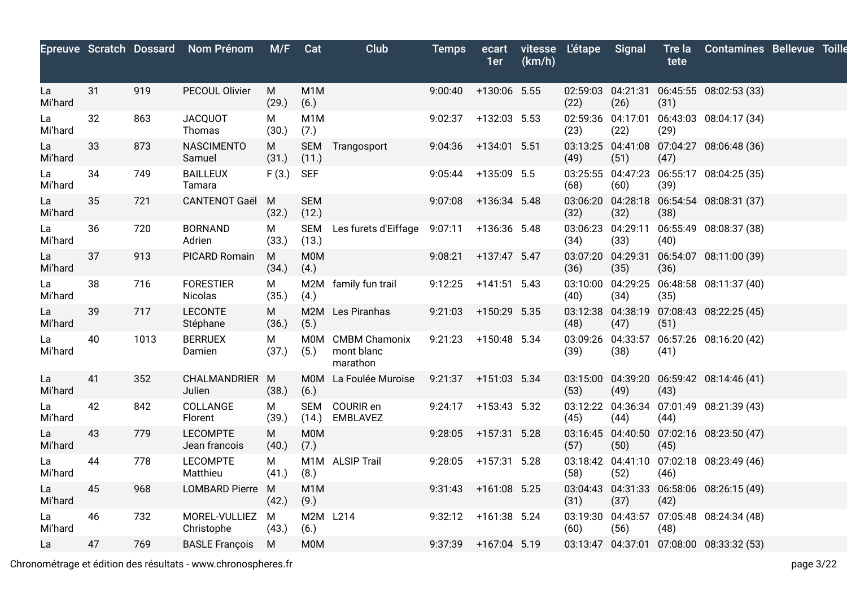|               |    |      | Epreuve Scratch Dossard Nom Prénom | M/F        | Cat                      | Club                                        | <b>Temps</b>           | ecart<br>1er | (km/h) | vitesse L'étape | Signal | Tre la<br>tete | <b>Contamines Bellevue Toille</b>            |  |
|---------------|----|------|------------------------------------|------------|--------------------------|---------------------------------------------|------------------------|--------------|--------|-----------------|--------|----------------|----------------------------------------------|--|
| La<br>Mi'hard | 31 | 919  | PECOUL Olivier                     | M<br>(29.) | M <sub>1</sub> M<br>(6.) |                                             | 9:00:40 +130:06 5.55   |              |        | (22)            | (26)   | (31)           | 02:59:03  04:21:31  06:45:55  08:02:53  (33) |  |
| La<br>Mi'hard | 32 | 863  | <b>JACQUOT</b><br>Thomas           | M<br>(30.) | M1M<br>(7.)              |                                             | 9:02:37                | +132:03 5.53 |        | (23)            | (22)   | (29)           | 02:59:36 04:17:01 06:43:03 08:04:17 (34)     |  |
| La<br>Mi'hard | 33 | 873  | <b>NASCIMENTO</b><br>Samuel        | M<br>(31.) | (11.)                    | SEM Trangosport                             | 9:04:36 +134:01 5.51   |              |        | (49)            | (51)   | (47)           | 03:13:25 04:41:08 07:04:27 08:06:48 (36)     |  |
| La<br>Mi'hard | 34 | 749  | <b>BAILLEUX</b><br>Tamara          | F(3.)      | <b>SEF</b>               |                                             | 9:05:44                | +135:09 5.5  |        | (68)            | (60)   | (39)           | 03:25:55 04:47:23 06:55:17 08:04:25 (35)     |  |
| La<br>Mi'hard | 35 | 721  | CANTENOT Gaël M                    | (32.)      | <b>SEM</b><br>(12.)      |                                             | 9:07:08 +136:34 5.48   |              |        | (32)            | (32)   | (38)           | 03:06:20 04:28:18 06:54:54 08:08:31 (37)     |  |
| La<br>Mi'hard | 36 | 720  | <b>BORNAND</b><br>Adrien           | М<br>(33.) | SEM<br>(13.)             | Les furets d'Eiffage 9:07:11 +136:36 5.48   |                        |              |        | (34)            | (33)   | (40)           | 03:06:23  04:29:11  06:55:49  08:08:37  (38) |  |
| La<br>Mi'hard | 37 | 913  | PICARD Romain                      | M<br>(34.) | <b>M0M</b><br>(4.)       |                                             | 9:08:21 +137:47 5.47   |              |        | (36)            | (35)   | (36)           | 03:07:20 04:29:31 06:54:07 08:11:00 (39)     |  |
| La<br>Mi'hard | 38 | 716  | <b>FORESTIER</b><br>Nicolas        | M<br>(35.) | (4.)                     | M2M family fun trail                        | $9:12:25$ +141:51 5.43 |              |        | (40)            | (34)   | (35)           | 03:10:00  04:29:25  06:48:58  08:11:37  (40) |  |
| La<br>Mi'hard | 39 | 717  | <b>LECONTE</b><br>Stéphane         | M<br>(36.) | (5.)                     | M2M Les Piranhas                            | 9:21:03                | +150:29 5.35 |        | (48)            | (47)   | (51)           | 03:12:38  04:38:19  07:08:43  08:22:25  (45) |  |
| La<br>Mi'hard | 40 | 1013 | <b>BERRUEX</b><br>Damien           | м<br>(37.) | (5.)                     | M0M CMBM Chamonix<br>mont blanc<br>marathon | 9:21:23 +150:48 5.34   |              |        | (39)            | (38)   | (41)           | 03:09:26 04:33:57 06:57:26 08:16:20 (42)     |  |
| La<br>Mi'hard | 41 | 352  | CHALMANDRIER M<br>Julien           | (38.)      | (6.)                     | M0M La Foulée Muroise                       | 9:21:37 +151:03 5.34   |              |        | (53)            | (49)   | (43)           | 03:15:00 04:39:20 06:59:42 08:14:46 (41)     |  |
| La<br>Mi'hard | 42 | 842  | COLLANGE<br>Florent                | M<br>(39.) | (14.)                    | SEM COURIR en<br><b>EMBLAVEZ</b>            | 9:24:17 +153:43 5.32   |              |        | (45)            | (44)   | (44)           | 03:12:22 04:36:34 07:01:49 08:21:39 (43)     |  |
| La<br>Mi'hard | 43 | 779  | <b>LECOMPTE</b><br>Jean francois   | м<br>(40.) | <b>M0M</b><br>(7.)       |                                             | 9:28:05 +157:31 5.28   |              |        | (57)            | (50)   | (45)           | 03:16:45 04:40:50 07:02:16 08:23:50 (47)     |  |
| La<br>Mi'hard | 44 | 778  | <b>LECOMPTE</b><br>Matthieu        | M<br>(41.) | (8.)                     | M1M ALSIP Trail                             | 9:28:05 +157:31 5.28   |              |        | (58)            | (52)   | (46)           | 03:18:42  04:41:10  07:02:18  08:23:49  (46) |  |
| La<br>Mi'hard | 45 | 968  | LOMBARD Pierre M                   | (42.)      | M <sub>1</sub> M<br>(9.) |                                             | 9:31:43 +161:08 5.25   |              |        | (31)            | (37)   | (42)           | 03:04:43  04:31:33  06:58:06  08:26:15  (49) |  |
| La<br>Mi'hard | 46 | 732  | MOREL-VULLIEZ M<br>Christophe      | (43.)      | M2M L214<br>(6.)         |                                             | 9:32:12 +161:38 5.24   |              |        | (60)            | (56)   | (48)           | 03:19:30  04:43:57  07:05:48  08:24:34  (48) |  |
| La            | 47 | 769  | <b>BASLE François M</b>            |            | <b>MOM</b>               |                                             | 9:37:39 +167:04 5.19   |              |        |                 |        |                | 03:13:47 04:37:01 07:08:00 08:33:32 (53)     |  |

Chronométrage et édition des résultats - www.chronospheres.fr comme et au control en experience de se se page 3/22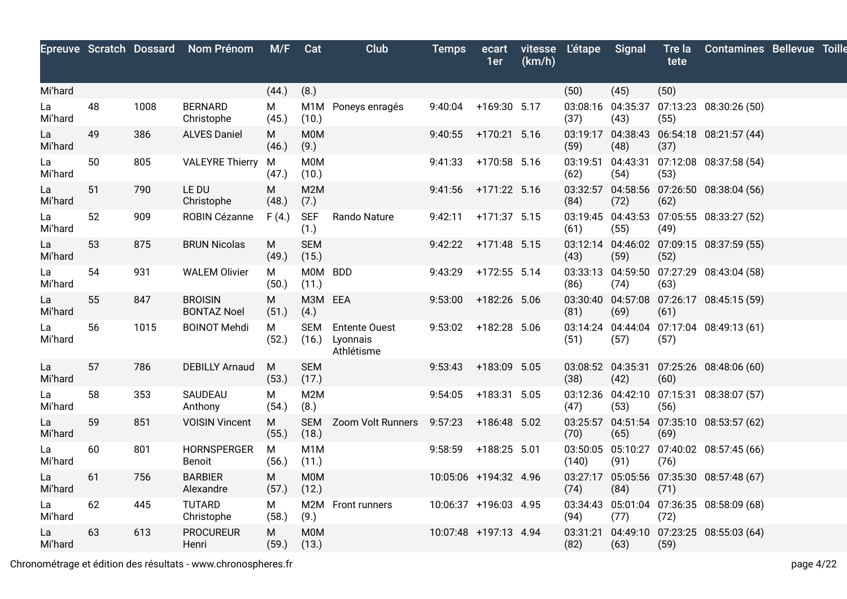|               |    |      | Epreuve Scratch Dossard Nom Prénom   | M/F Cat    |                           | Club                                           | <b>Temps</b>          | ecart<br>1er          | (km/h) | vitesse L'étape           | Signal                    | Tre la<br>tete | <b>Contamines Bellevue Toille</b>            |  |
|---------------|----|------|--------------------------------------|------------|---------------------------|------------------------------------------------|-----------------------|-----------------------|--------|---------------------------|---------------------------|----------------|----------------------------------------------|--|
| Mi'hard       |    |      |                                      | (44.)      | (8.)                      |                                                |                       |                       |        | (50)                      | (45)                      | (50)           |                                              |  |
| La<br>Mi'hard | 48 | 1008 | <b>BERNARD</b><br>Christophe         | М<br>(45.) | (10.)                     | M1M Poneys enragés                             | 9:40:04               | +169:30 5.17          |        | (37)                      | 03:08:16 04:35:37<br>(43) | (55)           | 07:13:23 08:30:26 (50)                       |  |
| La<br>Mi'hard | 49 | 386  | <b>ALVES Daniel</b>                  | М<br>(46.) | <b>MOM</b><br>(9.)        |                                                |                       | 9:40:55 +170:21 5.16  |        | (59)                      | (48)                      | (37)           | 03:19:17 04:38:43 06:54:18 08:21:57 (44)     |  |
| La<br>Mi'hard | 50 | 805  | <b>VALEYRE Thierry M</b>             | (47.)      | M0M<br>(10.)              |                                                | 9:41:33               | +170:58 5.16          |        | 03:19:51 04:43:31<br>(62) | (54)                      | (53)           | 07:12:08 08:37:58 (54)                       |  |
| La<br>Mi'hard | 51 | 790  | LE DU<br>Christophe                  | M<br>(48.) | M2M<br>(7.)               |                                                |                       | 9:41:56 +171:22 5.16  |        | (84)                      | (72)                      | (62)           | 03:32:57 04:58:56 07:26:50 08:38:04 (56)     |  |
| La<br>Mi'hard | 52 | 909  | ROBIN Cézanne                        | F(4.)      | <b>SEF</b><br>(1.)        | Rando Nature                                   |                       | 9:42:11 +171:37 5.15  |        | (61)                      | (55)                      | (49)           | 03:19:45 04:43:53 07:05:55 08:33:27 (52)     |  |
| La<br>Mi'hard | 53 | 875  | <b>BRUN Nicolas</b>                  | M<br>(49.) | <b>SEM</b><br>(15.)       |                                                |                       | 9:42:22 +171:48 5.15  |        | (43)                      | (59)                      | (52)           | 03:12:14 04:46:02 07:09:15 08:37:59 (55)     |  |
| La<br>Mi'hard | 54 | 931  | <b>WALEM Olivier</b>                 | М<br>(50.) | MOM BDD<br>(11.)          |                                                | 9:43:29               | +172:55 5.14          |        | (86)                      | (74)                      | (63)           | 03:33:13 04:59:50 07:27:29 08:43:04 (58)     |  |
| La<br>Mi'hard | 55 | 847  | <b>BROISIN</b><br><b>BONTAZ Noel</b> | М<br>(51.) | M3M EEA<br>(4.)           |                                                | 9:53:00               | +182:26 5.06          |        | (81)                      | (69)                      | (61)           | 03:30:40  04:57:08  07:26:17  08:45:15  (59) |  |
| La<br>Mi'hard | 56 | 1015 | <b>BOINOT Mehdi</b>                  | М<br>(52.) | <b>SEM</b><br>(16.)       | <b>Entente Ouest</b><br>Lyonnais<br>Athlétisme | 9:53:02               | +182:28 5.06          |        | (51)                      | (57)                      | (57)           | 03:14:24 04:44:04 07:17:04 08:49:13 (61)     |  |
| La<br>Mi'hard | 57 | 786  | <b>DEBILLY Arnaud</b>                | M<br>(53.) | <b>SEM</b><br>(17.)       |                                                | 9:53:43               | +183:09 5.05          |        | 03:08:52 04:35:31<br>(38) | (42)                      | (60)           | 07:25:26 08:48:06 (60)                       |  |
| La<br>Mi'hard | 58 | 353  | SAUDEAU<br>Anthony                   | м<br>(54.) | M <sub>2</sub> M<br>(8.)  |                                                | 9:54:05               | +183:31 5.05          |        | (47)                      | 03:12:36 04:42:10<br>(53) | (56)           | 07:15:31 08:38:07 (57)                       |  |
| La<br>Mi'hard | 59 | 851  | <b>VOISIN Vincent</b>                | М<br>(55.) | <b>SEM</b><br>(18.)       | Zoom Volt Runners                              | 9:57:23               | +186:48 5.02          |        | (70)                      | (65)                      | (69)           | 03:25:57 04:51:54 07:35:10 08:53:57 (62)     |  |
| La<br>Mi'hard | 60 | 801  | <b>HORNSPERGER</b><br>Benoit         | M<br>(56.) | M <sub>1</sub> M<br>(11.) |                                                | 9:58:59               | +188:25 5.01          |        | (140)                     | 03:50:05 05:10:27<br>(91) | (76)           | 07:40:02 08:57:45 (66)                       |  |
| La<br>Mi'hard | 61 | 756  | <b>BARBIER</b><br>Alexandre          | М<br>(57.) | <b>MOM</b><br>(12.)       |                                                | 10:05:06 +194:32 4.96 |                       |        | (74)                      | (84)                      | (71)           | 03:27:17 05:05:56 07:35:30 08:57:48 (67)     |  |
| La<br>Mi'hard | 62 | 445  | <b>TUTARD</b><br>Christophe          | М<br>(58.) | (9.)                      | M2M Front runners                              |                       | 10:06:37 +196:03 4.95 |        | (94)                      | 03:34:43 05:01:04<br>(77) | (72)           | 07:36:35 08:58:09 (68)                       |  |
| La<br>Mi'hard | 63 | 613  | <b>PROCUREUR</b><br>Henri            | M<br>(59.) | <b>M0M</b><br>(13.)       |                                                | 10:07:48 +197:13 4.94 |                       |        | 03:31:21<br>(82)          | 04:49:10<br>(63)          | (59)           | 07:23:25 08:55:03 (64)                       |  |
|               |    |      |                                      |            |                           |                                                |                       |                       |        |                           |                           |                |                                              |  |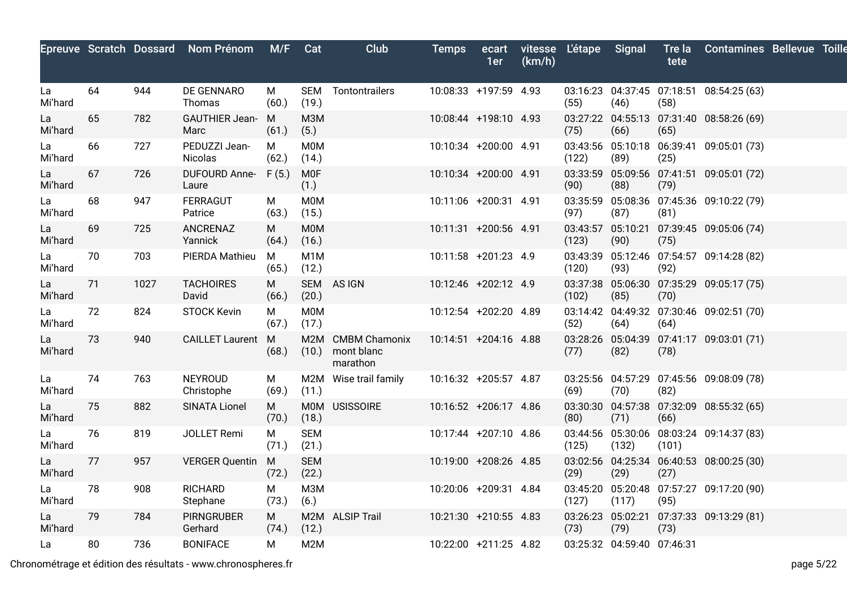|               |    |      | Epreuve Scratch Dossard Nom Prénom | M/F Cat    |                           | Club                                              | <b>Temps</b>          | ecart<br>1er | (km/h) | vitesse L'étape            | Signal                     | Tre la<br>tete | <b>Contamines Bellevue Toille</b>        |  |
|---------------|----|------|------------------------------------|------------|---------------------------|---------------------------------------------------|-----------------------|--------------|--------|----------------------------|----------------------------|----------------|------------------------------------------|--|
| La<br>Mi'hard | 64 | 944  | DE GENNARO<br>Thomas               | M<br>(60.) | (19.)                     | SEM Tontontrailers                                | 10:08:33 +197:59 4.93 |              |        | (55)                       | (46)                       | (58)           | 03:16:23 04:37:45 07:18:51 08:54:25 (63) |  |
| La<br>Mi'hard | 65 | 782  | GAUTHIER Jean- M<br>Marc           | (61.)      | M3M<br>(5.)               |                                                   | 10:08:44 +198:10 4.93 |              |        | (75)                       | (66)                       | (65)           | 03:27:22 04:55:13 07:31:40 08:58:26 (69) |  |
| La<br>Mi'hard | 66 | 727  | PEDUZZI Jean-<br>Nicolas           | М<br>(62.) | <b>M0M</b><br>(14.)       |                                                   | 10:10:34 +200:00 4.91 |              |        | (122)                      | (89)                       | (25)           | 03:43:56 05:10:18 06:39:41 09:05:01 (73) |  |
| La<br>Mi'hard | 67 | 726  | DUFOURD Anne- F (5.)<br>Laure      |            | <b>MOF</b><br>(1.)        |                                                   | 10:10:34 +200:00 4.91 |              |        | (90)                       | (88)                       | (79)           | 03:33:59 05:09:56 07:41:51 09:05:01 (72) |  |
| La<br>Mi'hard | 68 | 947  | FERRAGUT<br>Patrice                | М<br>(63.) | <b>M0M</b><br>(15.)       |                                                   | 10:11:06 +200:31 4.91 |              |        | (97)                       | (87)                       | (81)           | 03:35:59 05:08:36 07:45:36 09:10:22 (79) |  |
| La<br>Mi'hard | 69 | 725  | ANCRENAZ<br>Yannick                | M<br>(64.) | <b>M0M</b><br>(16.)       |                                                   | 10:11:31 +200:56 4.91 |              |        | 03:43:57 05:10:21<br>(123) | (90)                       | (75)           | 07:39:45 09:05:06 (74)                   |  |
| La<br>Mi'hard | 70 | 703  | PIERDA Mathieu                     | M<br>(65.) | M <sub>1</sub> M<br>(12.) |                                                   | 10:11:58 +201:23 4.9  |              |        | (120)                      | (93)                       | (92)           | 03:43:39 05:12:46 07:54:57 09:14:28 (82) |  |
| La<br>Mi'hard | 71 | 1027 | <b>TACHOIRES</b><br>David          | M<br>(66.) | (20.)                     | SEM AS IGN                                        | 10:12:46 +202:12 4.9  |              |        | (102)                      | (85)                       | (70)           | 03:37:38 05:06:30 07:35:29 09:05:17 (75) |  |
| La<br>Mi'hard | 72 | 824  | <b>STOCK Kevin</b>                 | М<br>(67.) | <b>M0M</b><br>(17.)       |                                                   | 10:12:54 +202:20 4.89 |              |        | (52)                       | (64)                       | (64)           | 03:14:42 04:49:32 07:30:46 09:02:51 (70) |  |
| La<br>Mi'hard | 73 | 940  | CAILLET Laurent M                  | (68.)      |                           | M2M CMBM Chamonix<br>(10.) mont blanc<br>marathon | 10:14:51 +204:16 4.88 |              |        | (77)                       | 03:28:26 05:04:39<br>(82)  | (78)           | 07:41:17 09:03:01 (71)                   |  |
| La<br>Mi'hard | 74 | 763  | NEYROUD<br>Christophe              | M<br>(69.) | (11.)                     | M2M Wise trail family                             | 10:16:32 +205:57 4.87 |              |        | (69)                       | (70)                       | (82)           | 03:25:56 04:57:29 07:45:56 09:08:09 (78) |  |
| La<br>Mi'hard | 75 | 882  | <b>SINATA Lionel</b>               | М<br>(70.) | (18.)                     | MOM USISSOIRE                                     | 10:16:52 +206:17 4.86 |              |        | (80)                       | (71)                       | (66)           | 03:30:30 04:57:38 07:32:09 08:55:32 (65) |  |
| La<br>Mi'hard | 76 | 819  | JOLLET Remi                        | м<br>(71.) | <b>SEM</b><br>(21.)       |                                                   | 10:17:44 +207:10 4.86 |              |        | (125)                      | (132)                      | (101)          | 03:44:56 05:30:06 08:03:24 09:14:37 (83) |  |
| La<br>Mi'hard | 77 | 957  | <b>VERGER Quentin M</b>            | (72.)      | <b>SEM</b><br>(22.)       |                                                   | 10:19:00 +208:26 4.85 |              |        | (29)                       | 03:02:56 04:25:34<br>(29)  | (27)           | 06:40:53 08:00:25 (30)                   |  |
| La<br>Mi'hard | 78 | 908  | <b>RICHARD</b><br>Stephane         | М<br>(73.) | M3M<br>(6.)               |                                                   | 10:20:06 +209:31 4.84 |              |        | (127)                      | (117)                      | (95)           | 03:45:20 05:20:48 07:57:27 09:17:20 (90) |  |
| La<br>Mi'hard | 79 | 784  | <b>PIRNGRUBER</b><br>Gerhard       | М<br>(74.) | (12.)                     | M2M ALSIP Trail                                   | 10:21:30 +210:55 4.83 |              |        | 03:26:23 05:02:21<br>(73)  | (79)                       | (73)           | 07:37:33 09:13:29 (81)                   |  |
| La            | 80 | 736  | <b>BONIFACE</b>                    | М          | M2M                       |                                                   | 10:22:00 +211:25 4.82 |              |        |                            | 03:25:32 04:59:40 07:46:31 |                |                                          |  |

Chronométrage et édition des résultats - www.chronospheres.fr page 5/22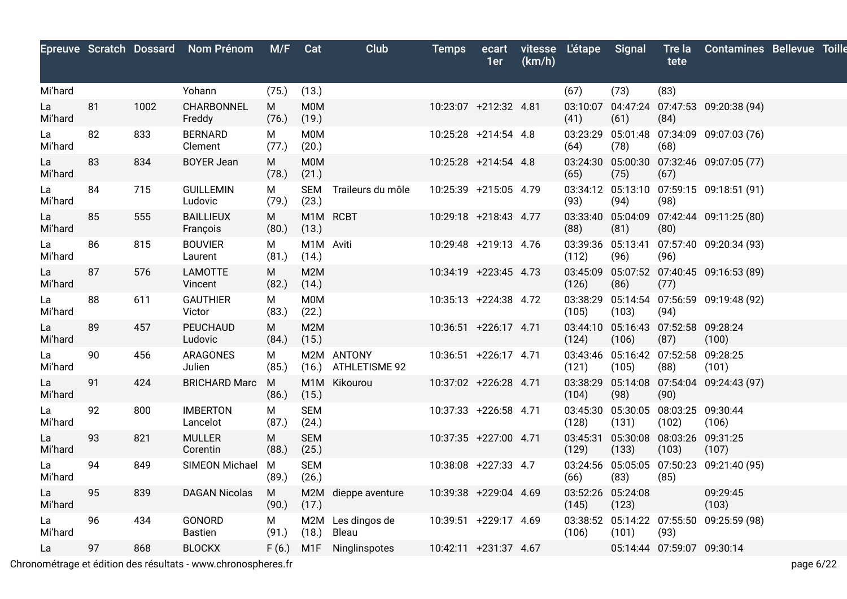|               |    |      | Epreuve Scratch Dossard Nom Prénom | M/F        | Cat                 | Club                              | <b>Temps</b>          | ecart<br>1er | (km/h) | vitesse L'étape            | Signal                     | Tre la<br>tete                                 | <b>Contamines Bellevue Toille</b>            |  |
|---------------|----|------|------------------------------------|------------|---------------------|-----------------------------------|-----------------------|--------------|--------|----------------------------|----------------------------|------------------------------------------------|----------------------------------------------|--|
| Mi'hard       |    |      | Yohann                             | (75.)      | (13.)               |                                   |                       |              |        | (67)                       | (73)                       | (83)                                           |                                              |  |
| La<br>Mi'hard | 81 | 1002 | CHARBONNEL<br>Freddy               | М<br>(76.) | <b>MOM</b><br>(19.) |                                   | 10:23:07 +212:32 4.81 |              |        | (41)                       | (61)                       | (84)                                           | 03:10:07  04:47:24  07:47:53  09:20:38  (94) |  |
| La<br>Mi'hard | 82 | 833  | <b>BERNARD</b><br>Clement          | М<br>(77.) | <b>M0M</b><br>(20.) |                                   | 10:25:28 +214:54 4.8  |              |        | (64)                       | (78)                       | (68)                                           | 03:23:29 05:01:48 07:34:09 09:07:03 (76)     |  |
| La<br>Mi'hard | 83 | 834  | <b>BOYER Jean</b>                  | М<br>(78.) | <b>M0M</b><br>(21.) |                                   | 10:25:28 +214:54 4.8  |              |        | (65)                       | (75)                       | (67)                                           | 03:24:30 05:00:30 07:32:46 09:07:05 (77)     |  |
| La<br>Mi'hard | 84 | 715  | <b>GUILLEMIN</b><br>Ludovic        | М<br>(79.) | (23.)               | SEM Traileurs du môle             | 10:25:39 +215:05 4.79 |              |        | (93)                       | (94)                       | (98)                                           | 03:34:12 05:13:10 07:59:15 09:18:51 (91)     |  |
| La<br>Mi'hard | 85 | 555  | <b>BAILLIEUX</b><br>François       | M<br>(80.) | (13.)               | M1M RCBT                          | 10:29:18 +218:43 4.77 |              |        | (88)                       | (81)                       | (80)                                           | 03:33:40  05:04:09  07:42:44  09:11:25  (80) |  |
| La<br>Mi'hard | 86 | 815  | <b>BOUVIER</b><br>Laurent          | М<br>(81.) | M1M Aviti<br>(14.)  |                                   | 10:29:48 +219:13 4.76 |              |        | 03:39:36 05:13:41<br>(112) | (96)                       | (96)                                           | 07:57:40 09:20:34 (93)                       |  |
| La<br>Mi'hard | 87 | 576  | <b>LAMOTTE</b><br>Vincent          | М<br>(82.) | M2M<br>(14.)        |                                   | 10:34:19 +223:45 4.73 |              |        | (126)                      | (86)                       | (77)                                           | 03:45:09 05:07:52 07:40:45 09:16:53 (89)     |  |
| La<br>Mi'hard | 88 | 611  | <b>GAUTHIER</b><br>Victor          | М<br>(83.) | M0M<br>(22.)        |                                   | 10:35:13 +224:38 4.72 |              |        | (105)                      | (103)                      | (94)                                           | 03:38:29 05:14:54 07:56:59 09:19:48 (92)     |  |
| La<br>Mi'hard | 89 | 457  | PEUCHAUD<br>Ludovic                | M<br>(84.) | M2M<br>(15.)        |                                   | 10:36:51 +226:17 4.71 |              |        | (124)                      | (106)                      | 03:44:10 05:16:43 07:52:58 09:28:24<br>(87)    | (100)                                        |  |
| La<br>Mi'hard | 90 | 456  | ARAGONES<br>Julien                 | М<br>(85.) |                     | M2M ANTONY<br>(16.) ATHLETISME 92 | 10:36:51 +226:17 4.71 |              |        | (121)                      | (105)                      | 03:43:46  05:16:42  07:52:58  09:28:25<br>(88) | (101)                                        |  |
| La<br>Mi'hard | 91 | 424  | <b>BRICHARD Marc</b>               | M<br>(86.) | (15.)               | M1M Kikourou                      | 10:37:02 +226:28 4.71 |              |        | (104)                      | (98)                       | (90)                                           | 03:38:29 05:14:08 07:54:04 09:24:43 (97)     |  |
| La<br>Mi'hard | 92 | 800  | <b>IMBERTON</b><br>Lancelot        | М<br>(87.) | <b>SEM</b><br>(24.) |                                   | 10:37:33 +226:58 4.71 |              |        | (128)                      | 03:45:30 05:30:05<br>(131) | 08:03:25 09:30:44<br>(102)                     | (106)                                        |  |
| La<br>Mi'hard | 93 | 821  | <b>MULLER</b><br>Corentin          | M<br>(88.) | <b>SEM</b><br>(25.) |                                   | 10:37:35 +227:00 4.71 |              |        | 03:45:31<br>(129)          | (133)                      | 05:30:08 08:03:26 09:31:25<br>(103)            | (107)                                        |  |
| La<br>Mi'hard | 94 | 849  | SIMEON Michael                     | M<br>(89.) | <b>SEM</b><br>(26.) |                                   | 10:38:08 +227:33 4.7  |              |        | (66)                       | (83)                       | (85)                                           | 03:24:56 05:05:05 07:50:23 09:21:40 (95)     |  |
| La<br>Mi'hard | 95 | 839  | <b>DAGAN Nicolas</b>               | M<br>(90.) | (17.)               | M2M dieppe aventure               | 10:39:38 +229:04 4.69 |              |        | 03:52:26 05:24:08<br>(145) | (123)                      |                                                | 09:29:45<br>(103)                            |  |
| La<br>Mi'hard | 96 | 434  | GONORD<br><b>Bastien</b>           | M<br>(91.) | (18.)               | M2M Les dingos de<br>Bleau        | 10:39:51 +229:17 4.69 |              |        | (106)                      | (101)                      | (93)                                           | 03:38:52 05:14:22 07:55:50 09:25:59 (98)     |  |
| La            | 97 | 868  | <b>BLOCKX</b>                      | F(6.)      |                     | M1F Ninglinspotes                 | 10:42:11 +231:37 4.67 |              |        |                            |                            | 05:14:44 07:59:07 09:30:14                     |                                              |  |

Chronométrage et édition des résultats - www.chronospheres.fr page 6/22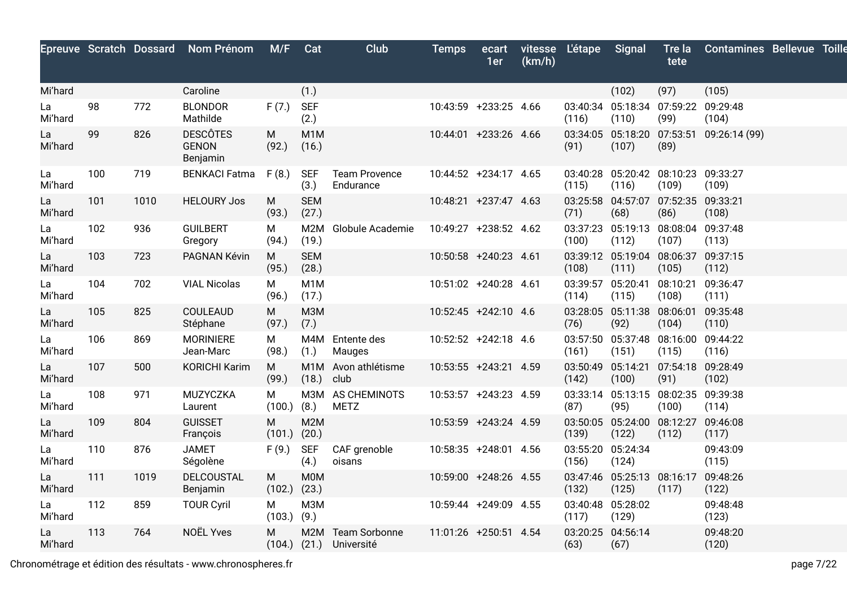|               |     |      | Epreuve Scratch Dossard Nom Prénom          | M/F Cat               |                           | <b>Club</b>                                  | <b>Temps</b>          | ecart<br>1er | (km/h) | vitesse L'étape            | Signal                              | Tre la<br>tete                                  | <b>Contamines Bellevue Toille</b>        |  |
|---------------|-----|------|---------------------------------------------|-----------------------|---------------------------|----------------------------------------------|-----------------------|--------------|--------|----------------------------|-------------------------------------|-------------------------------------------------|------------------------------------------|--|
| Mi'hard       |     |      | Caroline                                    |                       | (1.)                      |                                              |                       |              |        |                            | (102)                               | (97)                                            | (105)                                    |  |
| La<br>Mi'hard | 98  | 772  | <b>BLONDOR</b><br>Mathilde                  | F(7.)                 | <b>SEF</b><br>(2.)        |                                              | 10:43:59 +233:25 4.66 |              |        | (116)                      | (110)                               | 03:40:34 05:18:34 07:59:22 09:29:48<br>(99)     | (104)                                    |  |
| La<br>Mi'hard | 99  | 826  | <b>DESCÔTES</b><br><b>GENON</b><br>Benjamin | M<br>(92.)            | M <sub>1</sub> M<br>(16.) |                                              | 10:44:01 +233:26 4.66 |              |        | (91)                       | (107)                               | (89)                                            | 03:34:05 05:18:20 07:53:51 09:26:14 (99) |  |
| La<br>Mi'hard | 100 | 719  | <b>BENKACI Fatma</b>                        | F (8.)                | <b>SEF</b><br>(3.)        | <b>Team Provence</b><br>Endurance            | 10:44:52 +234:17 4.65 |              |        | (115)                      | (116)                               | 03:40:28 05:20:42 08:10:23 09:33:27<br>(109)    | (109)                                    |  |
| La<br>Mi'hard | 101 | 1010 | <b>HELOURY Jos</b>                          | M<br>(93.)            | <b>SEM</b><br>(27.)       |                                              | 10:48:21 +237:47 4.63 |              |        | (71)                       | (68)                                | 03:25:58 04:57:07 07:52:35 09:33:21<br>(86)     | (108)                                    |  |
| La<br>Mi'hard | 102 | 936  | <b>GUILBERT</b><br>Gregory                  | М<br>(94.)            | (19.)                     | M2M Globule Academie                         | 10:49:27 +238:52 4.62 |              |        | (100)                      | (112)                               | 03:37:23  05:19:13  08:08:04  09:37:48<br>(107) | (113)                                    |  |
| La<br>Mi'hard | 103 | 723  | PAGNAN Kévin                                | M<br>(95.)            | <b>SEM</b><br>(28.)       |                                              | 10:50:58 +240:23 4.61 |              |        | (108)                      | 03:39:12 05:19:04 08:06:37<br>(111) | (105)                                           | 09:37:15<br>(112)                        |  |
| La<br>Mi'hard | 104 | 702  | <b>VIAL Nicolas</b>                         | M<br>(96.)            | M1M<br>(17.)              |                                              | 10:51:02 +240:28 4.61 |              |        | (114)                      | 03:39:57 05:20:41<br>(115)          | 08:10:21<br>(108)                               | 09:36:47<br>(111)                        |  |
| La<br>Mi'hard | 105 | 825  | COULEAUD<br>Stéphane                        | M<br>(97.)            | M3M<br>(7.)               |                                              | 10:52:45 +242:10 4.6  |              |        | (76)                       | 03:28:05 05:11:38 08:06:01<br>(92)  | (104)                                           | 09:35:48<br>(110)                        |  |
| La<br>Mi'hard | 106 | 869  | <b>MORINIERE</b><br>Jean-Marc               | М<br>(98.)            | (1.)                      | M4M Entente des<br>Mauges                    | 10:52:52 +242:18 4.6  |              |        | (161)                      | 03:57:50 05:37:48 08:16:00<br>(151) | (115)                                           | 09:44:22<br>(116)                        |  |
| La<br>Mi'hard | 107 | 500  | <b>KORICHI Karim</b>                        | M<br>(99.)            | $(18.)$ club              | M1M Avon athlétisme                          | 10:53:55 +243:21 4.59 |              |        | (142)                      | 03:50:49 05:14:21<br>(100)          | 07:54:18 09:28:49<br>(91)                       | (102)                                    |  |
| La<br>Mi'hard | 108 | 971  | MUZYCZKA<br>Laurent                         | м<br>$(100.)$ $(8.)$  |                           | M3M AS CHEMINOTS<br>METZ                     | 10:53:57 +243:23 4.59 |              |        | (87)                       | (95)                                | 03:33:14 05:13:15 08:02:35<br>(100)             | 09:39:38<br>(114)                        |  |
| La<br>Mi'hard | 109 | 804  | <b>GUISSET</b><br>François                  | М<br>$(101.)$ $(20.)$ | M2M                       |                                              | 10:53:59 +243:24 4.59 |              |        | (139)                      | 03:50:05 05:24:00 08:12:27<br>(122) | (112)                                           | 09:46:08<br>(117)                        |  |
| La<br>Mi'hard | 110 | 876  | <b>JAMET</b><br>Ségolène                    | $F(9.)$ SEF           | (4.)                      | CAF grenoble<br>oisans                       | 10:58:35 +248:01 4.56 |              |        | 03:55:20 05:24:34<br>(156) | (124)                               |                                                 | 09:43:09<br>(115)                        |  |
| La<br>Mi'hard | 111 | 1019 | <b>DELCOUSTAL</b><br>Benjamin               | M<br>(102.)           | M0M<br>(23.)              |                                              | 10:59:00 +248:26 4.55 |              |        | (132)                      | 03:47:46 05:25:13 08:16:17<br>(125) | (117)                                           | 09:48:26<br>(122)                        |  |
| La<br>Mi'hard | 112 | 859  | <b>TOUR Cyril</b>                           | M<br>$(103.)$ $(9.)$  | МЗМ                       |                                              | 10:59:44 +249:09 4.55 |              |        | 03:40:48 05:28:02<br>(117) | (129)                               |                                                 | 09:48:48<br>(123)                        |  |
| La<br>Mi'hard | 113 | 764  | <b>NOËL Yves</b>                            | M                     |                           | M2M Team Sorbonne<br>(104.) (21.) Université | 11:01:26 +250:51 4.54 |              |        | 03:20:25 04:56:14<br>(63)  | (67)                                |                                                 | 09:48:20<br>(120)                        |  |

Chronométrage et édition des résultats - www.chronospheres.fr page 7/22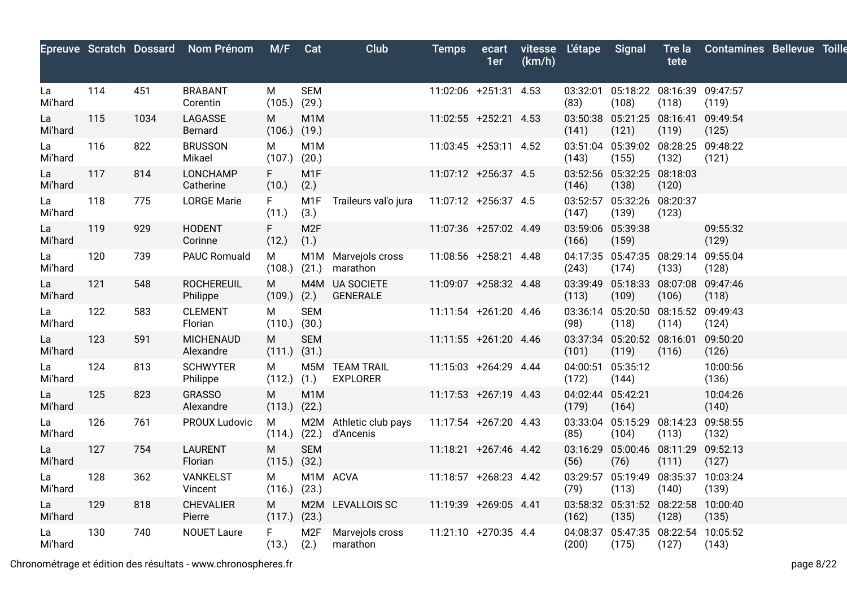|               |     |      | Epreuve Scratch Dossard Nom Prénom | M/F                   | Cat                      | Club                                | <b>Temps</b>          | ecart<br>1er | (km/h) | vitesse L'étape Signal |                                                 | tete                       | Tre la Contamines Bellevue Toille |  |
|---------------|-----|------|------------------------------------|-----------------------|--------------------------|-------------------------------------|-----------------------|--------------|--------|------------------------|-------------------------------------------------|----------------------------|-----------------------------------|--|
| La<br>Mi'hard | 114 | 451  | <b>BRABANT</b><br>Corentin         | M<br>$(105.)$ $(29.)$ | <b>SEM</b>               |                                     | 11:02:06 +251:31 4.53 |              |        | (83)                   | 03:32:01  05:18:22  08:16:39  09:47:57<br>(108) | (118)                      | (119)                             |  |
| La<br>Mi'hard | 115 | 1034 | LAGASSE<br>Bernard                 | M<br>$(106.)$ $(19.)$ | M <sub>1</sub> M         |                                     | 11:02:55 +252:21 4.53 |              |        | (141)                  | 03:50:38 05:21:25 08:16:41<br>(121)             | (119)                      | 09:49:54<br>(125)                 |  |
| La<br>Mi'hard | 116 | 822  | <b>BRUSSON</b><br>Mikael           | M<br>$(107.)$ $(20.)$ | M <sub>1</sub> M         |                                     | 11:03:45 +253:11 4.52 |              |        | (143)                  | 03:51:04  05:39:02  08:28:25  09:48:22<br>(155) | (132)                      | (121)                             |  |
| La<br>Mi'hard | 117 | 814  | LONCHAMP<br>Catherine              | F.<br>(10.)           | M <sub>1</sub> F<br>(2.) |                                     | 11:07:12 +256:37 4.5  |              |        | (146)                  | 03:52:56 05:32:25 08:18:03<br>(138)             | (120)                      |                                   |  |
| La<br>Mi'hard | 118 | 775  | <b>LORGE Marie</b>                 | F.<br>(11.)           | M1F<br>(3.)              | Traileurs val'o jura                | 11:07:12 +256:37 4.5  |              |        | (147)                  | 03:52:57 05:32:26 08:20:37<br>(139)             | (123)                      |                                   |  |
| La<br>Mi'hard | 119 | 929  | <b>HODENT</b><br>Corinne           | F.<br>(12.)           | M <sub>2F</sub><br>(1.)  |                                     | 11:07:36 +257:02 4.49 |              |        | (166)                  | 03:59:06 05:39:38<br>(159)                      |                            | 09:55:32<br>(129)                 |  |
| La<br>Mi'hard | 120 | 739  | <b>PAUC Romuald</b>                | M<br>$(108.)$ $(21.)$ |                          | M1M Marvejols cross<br>marathon     | 11:08:56 +258:21 4.48 |              |        | (243)                  | 04:17:35 05:47:35 08:29:14<br>(174)             | (133)                      | 09:55:04<br>(128)                 |  |
| La<br>Mi'hard | 121 | 548  | <b>ROCHEREUIL</b><br>Philippe      | M<br>$(109.)$ $(2.)$  |                          | M4M UA SOCIETE<br><b>GENERALE</b>   | 11:09:07 +258:32 4.48 |              |        | (113)                  | 03:39:49 05:18:33 08:07:08<br>(109)             | (106)                      | 09:47:46<br>(118)                 |  |
| La<br>Mi'hard | 122 | 583  | <b>CLEMENT</b><br>Florian          | M<br>$(110.)$ $(30.)$ | <b>SEM</b>               |                                     | 11:11:54 +261:20 4.46 |              |        | (98)                   | 03:36:14 05:20:50 08:15:52<br>(118)             | (114)                      | 09:49:43<br>(124)                 |  |
| La<br>Mi'hard | 123 | 591  | <b>MICHENAUD</b><br>Alexandre      | M<br>$(111.)$ $(31.)$ | <b>SEM</b>               |                                     | 11:11:55 +261:20 4.46 |              |        | (101)                  | 03:37:34 05:20:52 08:16:01<br>(119)             | (116)                      | 09:50:20<br>(126)                 |  |
| La<br>Mi'hard | 124 | 813  | <b>SCHWYTER</b><br>Philippe        | M<br>$(112.)$ $(1.)$  |                          | M5M TEAM TRAIL<br><b>EXPLORER</b>   | 11:15:03 +264:29 4.44 |              |        | 04:00:51<br>(172)      | 05:35:12<br>(144)                               |                            | 10:00:56<br>(136)                 |  |
| La<br>Mi'hard | 125 | 823  | <b>GRASSO</b><br>Alexandre         | M<br>$(113.)$ $(22.)$ | M <sub>1</sub> M         |                                     | 11:17:53 +267:19 4.43 |              |        | (179)                  | 04:02:44 05:42:21<br>(164)                      |                            | 10:04:26<br>(140)                 |  |
| La<br>Mi'hard | 126 | 761  | PROUX Ludovic                      | M<br>$(114.)$ $(22.)$ |                          | M2M Athletic club pays<br>d'Ancenis | 11:17:54 +267:20 4.43 |              |        | (85)                   | 03:33:04 05:15:29 08:14:23<br>(104)             | (113)                      | 09:58:55<br>(132)                 |  |
| La<br>Mi'hard | 127 | 754  | <b>LAURENT</b><br>Florian          | M<br>$(115.)$ $(32.)$ | <b>SEM</b>               |                                     | 11:18:21 +267:46 4.42 |              |        | 03:16:29<br>(56)       | (76)                                            | 05:00:46 08:11:29<br>(111) | 09:52:13<br>(127)                 |  |
| La<br>Mi'hard | 128 | 362  | <b>VANKELST</b><br>Vincent         | М<br>$(116.)$ $(23.)$ |                          | M1M ACVA                            | 11:18:57 +268:23 4.42 |              |        | (79)                   | 03:29:57 05:19:49 08:35:37<br>(113)             | (140)                      | 10:03:24<br>(139)                 |  |
| La<br>Mi'hard | 129 | 818  | <b>CHEVALIER</b><br>Pierre         | M<br>$(117.)$ $(23.)$ |                          | M2M LEVALLOIS SC                    | 11:19:39 +269:05 4.41 |              |        | (162)                  | 03:58:32 05:31:52 08:22:58<br>(135)             | (128)                      | 10:00:40<br>(135)                 |  |
| La<br>Mi'hard | 130 | 740  | <b>NOUET Laure</b>                 | F.<br>(13.)           | M <sub>2F</sub><br>(2.)  | Marvejols cross<br>marathon         | 11:21:10 +270:35 4.4  |              |        | (200)                  | 04:08:37 05:47:35 08:22:54 10:05:52<br>(175)    | (127)                      | (143)                             |  |

Chronométrage et édition des résultats - www.chronospheres.fr page 8/22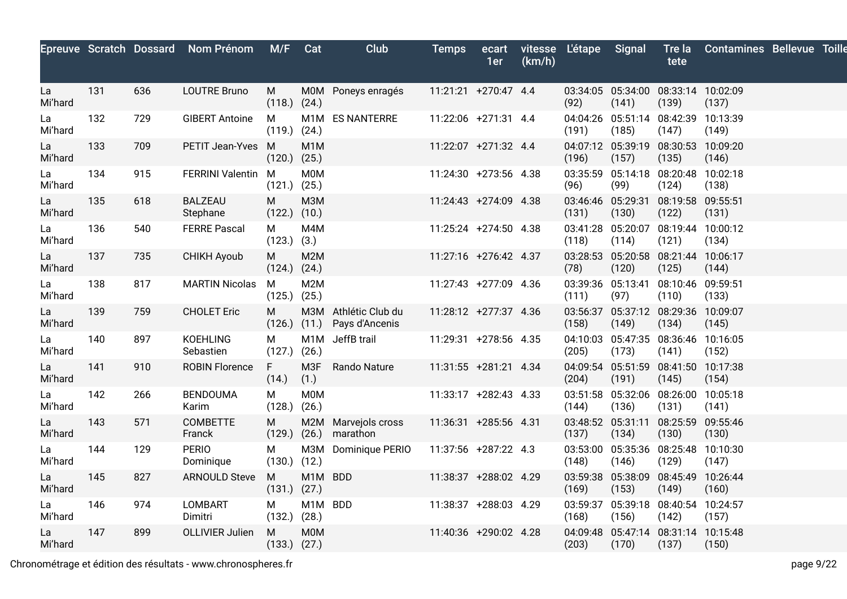|               |     | Epreuve Scratch Dossard | Nom Prénom                   | M/F                   | Cat              | Club                                   | <b>Temps</b>          | ecart<br>1er | (km/h) | vitesse L'étape   | Signal                                       | tete                                | Tre la Contamines Bellevue Toille |  |
|---------------|-----|-------------------------|------------------------------|-----------------------|------------------|----------------------------------------|-----------------------|--------------|--------|-------------------|----------------------------------------------|-------------------------------------|-----------------------------------|--|
| La<br>Mi'hard | 131 | 636                     | <b>LOUTRE Bruno</b>          | M<br>$(118.)$ $(24.)$ |                  | M0M Poneys enragés                     | 11:21:21 +270:47 4.4  |              |        | (92)              | 03:34:05 05:34:00 08:33:14 10:02:09<br>(141) | (139)                               | (137)                             |  |
| La<br>Mi'hard | 132 | 729                     | <b>GIBERT Antoine</b>        | М<br>$(119.)$ $(24.)$ |                  | M1M ES NANTERRE                        | 11:22:06 +271:31 4.4  |              |        | (191)             | 04:04:26 05:51:14 08:42:39<br>(185)          | (147)                               | 10:13:39<br>(149)                 |  |
| La<br>Mi'hard | 133 | 709                     | PETIT Jean-Yves M            | $(120.)$ $(25.)$      | M <sub>1</sub> M |                                        | 11:22:07 +271:32 4.4  |              |        | (196)             | 04:07:12 05:39:19 08:30:53<br>(157)          | (135)                               | 10:09:20<br>(146)                 |  |
| La<br>Mi'hard | 134 | 915                     | FERRINI Valentin M           | $(121.)$ $(25.)$      | <b>M0M</b>       |                                        | 11:24:30 +273:56 4.38 |              |        | (96)              | 03:35:59 05:14:18 08:20:48<br>(99)           | (124)                               | 10:02:18<br>(138)                 |  |
| La<br>Mi'hard | 135 | 618                     | <b>BALZEAU</b><br>Stephane   | М<br>$(122.)$ $(10.)$ | <b>M3M</b>       |                                        | 11:24:43 +274:09 4.38 |              |        | (131)             | 03:46:46 05:29:31<br>(130)                   | 08:19:58<br>(122)                   | 09:55:51<br>(131)                 |  |
| La<br>Mi'hard | 136 | 540                     | <b>FERRE Pascal</b>          | м<br>$(123.)$ $(3.)$  | M4M              |                                        | 11:25:24 +274:50 4.38 |              |        | (118)             | 03:41:28 05:20:07 08:19:44<br>(114)          | (121)                               | 10:00:12<br>(134)                 |  |
| La<br>Mi'hard | 137 | 735                     | <b>CHIKH Ayoub</b>           | M<br>$(124.)$ $(24.)$ | M2M              |                                        | 11:27:16 +276:42 4.37 |              |        | (78)              | 03:28:53 05:20:58 08:21:44 10:06:17<br>(120) | (125)                               | (144)                             |  |
| La<br>Mi'hard | 138 | 817                     | <b>MARTIN Nicolas</b>        | м<br>$(125.)$ $(25.)$ | M <sub>2</sub> M |                                        | 11:27:43 +277:09 4.36 |              |        | (111)             | 03:39:36 05:13:41<br>(97)                    | 08:10:46<br>(110)                   | 09:59:51<br>(133)                 |  |
| La<br>Mi'hard | 139 | 759                     | <b>CHOLET Eric</b>           | М<br>$(126.)$ $(11.)$ |                  | M3M Athlétic Club du<br>Pays d'Ancenis | 11:28:12 +277:37 4.36 |              |        | (158)             | 03:56:37 05:37:12 08:29:36<br>(149)          | (134)                               | 10:09:07<br>(145)                 |  |
| La<br>Mi'hard | 140 | 897                     | <b>KOEHLING</b><br>Sebastien | Μ<br>$(127.)$ $(26.)$ | M1M              | JeffB trail                            | 11:29:31 +278:56 4.35 |              |        | (205)             | 04:10:03 05:47:35 08:36:46<br>(173)          | (141)                               | 10:16:05<br>(152)                 |  |
| La<br>Mi'hard | 141 | 910                     | <b>ROBIN Florence</b>        | F.<br>(14.)           | M3F<br>(1.)      | Rando Nature                           | 11:31:55 +281:21 4.34 |              |        | (204)             | 04:09:54 05:51:59 08:41:50 10:17:38<br>(191) | (145)                               | (154)                             |  |
| La<br>Mi'hard | 142 | 266                     | <b>BENDOUMA</b><br>Karim     | M<br>$(128.)$ $(26.)$ | M0M              |                                        | 11:33:17 +282:43 4.33 |              |        | (144)             | 03:51:58 05:32:06 08:26:00<br>(136)          | (131)                               | 10:05:18<br>(141)                 |  |
| La<br>Mi'hard | 143 | 571                     | <b>COMBETTE</b><br>Franck    | M<br>$(129.)$ $(26.)$ |                  | M2M Marvejols cross<br>marathon        | 11:36:31 +285:56 4.31 |              |        | (137)             | 03:48:52 05:31:11<br>(134)                   | 08:25:59<br>(130)                   | 09:55:46<br>(130)                 |  |
| La<br>Mi'hard | 144 | 129                     | <b>PERIO</b><br>Dominique    | Μ<br>$(130.)$ $(12.)$ | МЗМ              | Dominique PERIO                        | 11:37:56 +287:22 4.3  |              |        | (148)             | 03:53:00 05:35:36 08:25:48<br>(146)          | (129)                               | 10:10:30<br>(147)                 |  |
| La<br>Mi'hard | 145 | 827                     | <b>ARNOULD Steve</b>         | M<br>$(131.)$ $(27.)$ | M1M BDD          |                                        | 11:38:37 +288:02 4.29 |              |        | (169)             | 03:59:38 05:38:09 08:45:49<br>(153)          | (149)                               | 10:26:44<br>(160)                 |  |
| La<br>Mi'hard | 146 | 974                     | <b>LOMBART</b><br>Dimitri    | м<br>$(132.)$ $(28.)$ | M <sub>1</sub> M | <b>BDD</b>                             | 11:38:37 +288:03 4.29 |              |        | 03:59:37<br>(168) | (156)                                        | 05:39:18 08:40:54<br>(142)          | 10:24:57<br>(157)                 |  |
| La<br>Mi'hard | 147 | 899                     | <b>OLLIVIER Julien</b>       | M<br>$(133.)$ $(27.)$ | <b>M0M</b>       |                                        | 11:40:36 +290:02 4.28 |              |        | 04:09:48<br>(203) | (170)                                        | 05:47:14 08:31:14 10:15:48<br>(137) | (150)                             |  |
|               |     |                         |                              |                       |                  |                                        |                       |              |        |                   |                                              |                                     |                                   |  |

Chronométrage et édition des résultats - www.chronospheres.fr page 9/22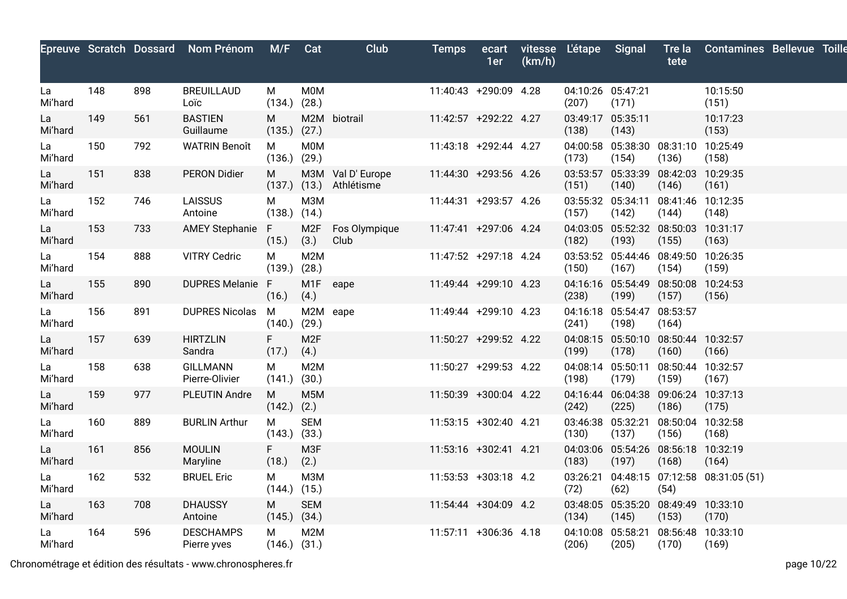|               |     |     | Epreuve Scratch Dossard Nom Prénom M/F Cat |                       |                         | Club                                        | <b>Temps</b>          | ecart<br>1er | (km/h) | vitesse L'étape Signal     |                                                 | tete                       | Tre la Contamines Bellevue Toille |  |
|---------------|-----|-----|--------------------------------------------|-----------------------|-------------------------|---------------------------------------------|-----------------------|--------------|--------|----------------------------|-------------------------------------------------|----------------------------|-----------------------------------|--|
| La<br>Mi'hard | 148 | 898 | <b>BREUILLAUD</b><br>Loïc                  | M<br>(134.)           | <b>M0M</b><br>(28.)     |                                             | 11:40:43 +290:09 4.28 |              |        | 04:10:26 05:47:21<br>(207) | (171)                                           |                            | 10:15:50<br>(151)                 |  |
| La<br>Mi'hard | 149 | 561 | <b>BASTIEN</b><br>Guillaume                | M<br>$(135.)$ $(27.)$ |                         | M2M biotrail                                | 11:42:57 +292:22 4.27 |              |        | 03:49:17 05:35:11<br>(138) | (143)                                           |                            | 10:17:23<br>(153)                 |  |
| La<br>Mi'hard | 150 | 792 | <b>WATRIN Benoît</b>                       | M<br>$(136.)$ $(29.)$ | <b>M0M</b>              |                                             | 11:43:18 +292:44 4.27 |              |        | (173)                      | 04:00:58 05:38:30 08:31:10 10:25:49<br>(154)    | (136)                      | (158)                             |  |
| La<br>Mi'hard | 151 | 838 | <b>PERON Didier</b>                        | M                     |                         | M3M Val D'Europe<br>(137.) (13.) Athlétisme | 11:44:30 +293:56 4.26 |              |        | (151)                      | 03:53:57 05:33:39<br>(140)                      | 08:42:03 10:29:35<br>(146) | (161)                             |  |
| La<br>Mi'hard | 152 | 746 | <b>LAISSUS</b><br>Antoine                  | М<br>$(138.)$ $(14.)$ | МЗМ                     |                                             | 11:44:31 +293:57 4.26 |              |        | 03:55:32 05:34:11<br>(157) | (142)                                           | 08:41:46 10:12:35<br>(144) | (148)                             |  |
| La<br>Mi'hard | 153 | 733 | <b>AMEY Stephanie</b>                      | - F<br>(15.)          | (3.)                    | M2F Fos Olympique<br>Club                   | 11:47:41 +297:06 4.24 |              |        | (182)                      | 04:03:05 05:52:32 08:50:03 10:31:17<br>(193)    | (155)                      | (163)                             |  |
| La<br>Mi'hard | 154 | 888 | <b>VITRY Cedric</b>                        | М<br>$(139.)$ $(28.)$ | M2M                     |                                             | 11:47:52 +297:18 4.24 |              |        | (150)                      | 03:53:52 05:44:46 08:49:50 10:26:35<br>(167)    | (154)                      | (159)                             |  |
| La<br>Mi'hard | 155 | 890 | DUPRES Melanie F                           | (16.)                 | (4.)                    | M1F eape                                    | 11:49:44 +299:10 4.23 |              |        | (238)                      | 04:16:16 05:54:49 08:50:08 10:24:53<br>(199)    | (157)                      | (156)                             |  |
| La<br>Mi'hard | 156 | 891 | DUPRES Nicolas M                           | $(140.)$ $(29.)$      |                         | M2M eape                                    | 11:49:44 +299:10 4.23 |              |        | (241)                      | 04:16:18 05:54:47<br>(198)                      | 08:53:57<br>(164)          |                                   |  |
| La<br>Mi'hard | 157 | 639 | <b>HIRTZLIN</b><br>Sandra                  | F.<br>(17.)           | M <sub>2F</sub><br>(4.) |                                             | 11:50:27 +299:52 4.22 |              |        | (199)                      | 04:08:15  05:50:10  08:50:44  10:32:57<br>(178) | (160)                      | (166)                             |  |
| La<br>Mi'hard | 158 | 638 | GILLMANN<br>Pierre-Olivier                 | м<br>$(141.)$ $(30.)$ | M2M                     |                                             | 11:50:27 +299:53 4.22 |              |        | 04:08:14 05:50:11<br>(198) | (179)                                           | 08:50:44<br>(159)          | 10:32:57<br>(167)                 |  |
| La<br>Mi'hard | 159 | 977 | <b>PLEUTIN Andre</b>                       | M<br>$(142.)$ $(2.)$  | M <sub>5</sub> M        |                                             | 11:50:39 +300:04 4.22 |              |        | (242)                      | 04:16:44 06:04:38 09:06:24 10:37:13<br>(225)    | (186)                      | (175)                             |  |
| La<br>Mi'hard | 160 | 889 | <b>BURLIN Arthur</b>                       | M<br>$(143.)$ $(33.)$ | <b>SEM</b>              |                                             | 11:53:15 +302:40 4.21 |              |        | 03:46:38 05:32:21<br>(130) | (137)                                           | 08:50:04 10:32:58<br>(156) | (168)                             |  |
| La<br>Mi'hard | 161 | 856 | <b>MOULIN</b><br>Maryline                  | F.<br>(18.)           | M3F<br>(2.)             |                                             | 11:53:16 +302:41 4.21 |              |        | (183)                      | 04:03:06 05:54:26 08:56:18 10:32:19<br>(197)    | (168)                      | (164)                             |  |
| La<br>Mi'hard | 162 | 532 | <b>BRUEL Eric</b>                          | М<br>$(144.)$ $(15.)$ | МЗМ                     |                                             | 11:53:53 +303:18 4.2  |              |        | 03:26:21<br>(72)           | (62)                                            | (54)                       | 04:48:15 07:12:58 08:31:05 (51)   |  |
| La<br>Mi'hard | 163 | 708 | <b>DHAUSSY</b><br>Antoine                  | м<br>$(145.)$ $(34.)$ | <b>SEM</b>              |                                             | 11:54:44 +304:09 4.2  |              |        | (134)                      | 03:48:05 05:35:20<br>(145)                      | 08:49:49 10:33:10<br>(153) | (170)                             |  |
| La<br>Mi'hard | 164 | 596 | <b>DESCHAMPS</b><br>Pierre yves            | М<br>$(146.)$ $(31.)$ | M2M                     |                                             | 11:57:11 +306:36 4.18 |              |        | 04:10:08 05:58:21<br>(206) | (205)                                           | 08:56:48 10:33:10<br>(170) | (169)                             |  |

Chronométrage et édition des résultats - www.chronospheres.fr comprehenses and the set of the set of the set of the set of the set of the set of the set of the page 10/22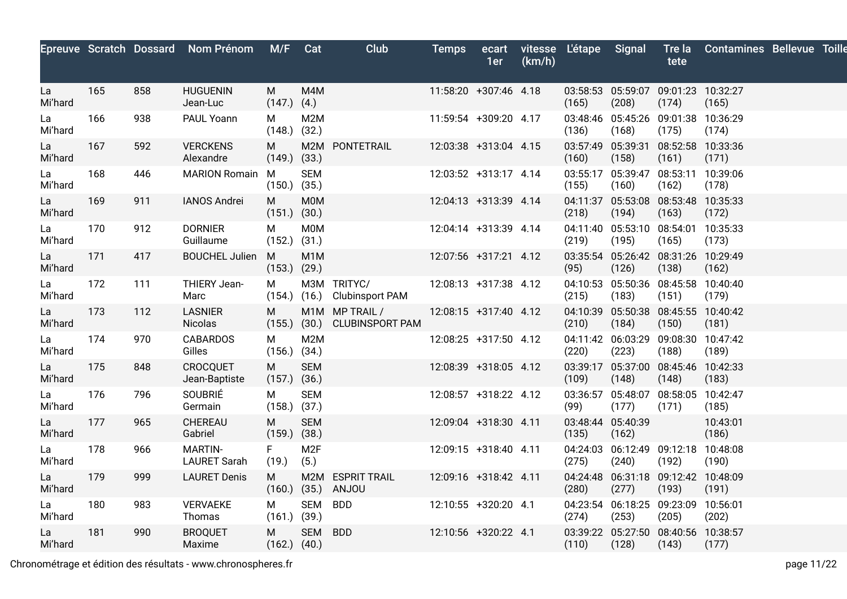|               |     |     | Epreuve Scratch Dossard Nom Prénom    | M/F                   | Cat                     | Club                                     | <b>Temps</b>          | ecart<br>1er | (km/h) | vitesse L'étape Signal |                                                 | tete                       | Tre la Contamines Bellevue Toille |  |
|---------------|-----|-----|---------------------------------------|-----------------------|-------------------------|------------------------------------------|-----------------------|--------------|--------|------------------------|-------------------------------------------------|----------------------------|-----------------------------------|--|
| La<br>Mi'hard | 165 | 858 | <b>HUGUENIN</b><br>Jean-Luc           | M<br>$(147.)$ $(4.)$  | M4M                     |                                          | 11:58:20 +307:46 4.18 |              |        | (165)                  | 03:58:53  05:59:07  09:01:23  10:32:27<br>(208) | (174)                      | (165)                             |  |
| La<br>Mi'hard | 166 | 938 | PAUL Yoann                            | М<br>$(148.)$ $(32.)$ | M2M                     |                                          | 11:59:54 +309:20 4.17 |              |        | (136)                  | 03:48:46 05:45:26 09:01:38<br>(168)             | (175)                      | 10:36:29<br>(174)                 |  |
| La<br>Mi'hard | 167 | 592 | <b>VERCKENS</b><br>Alexandre          | M<br>$(149.)$ $(33.)$ |                         | M2M PONTETRAIL                           | 12:03:38 +313:04 4.15 |              |        | (160)                  | 03:57:49 05:39:31 08:52:58<br>(158)             | (161)                      | 10:33:36<br>(171)                 |  |
| La<br>Mi'hard | 168 | 446 | MARION Romain M                       | $(150.)$ $(35.)$      | <b>SEM</b>              |                                          | 12:03:52 +313:17 4.14 |              |        | (155)                  | 03:55:17 05:39:47 08:53:11<br>(160)             | (162)                      | 10:39:06<br>(178)                 |  |
| La<br>Mi'hard | 169 | 911 | <b>IANOS Andrei</b>                   | M<br>$(151.)$ $(30.)$ | <b>M0M</b>              |                                          | 12:04:13 +313:39 4.14 |              |        | (218)                  | 04:11:37 05:53:08 08:53:48<br>(194)             | (163)                      | 10:35:33<br>(172)                 |  |
| La<br>Mi'hard | 170 | 912 | <b>DORNIER</b><br>Guillaume           | M<br>$(152.)$ $(31.)$ | <b>M0M</b>              |                                          | 12:04:14 +313:39 4.14 |              |        | (219)                  | 04:11:40 05:53:10 08:54:01<br>(195)             | (165)                      | 10:35:33<br>(173)                 |  |
| La<br>Mi'hard | 171 | 417 | <b>BOUCHEL Julien</b>                 | M<br>$(153.)$ $(29.)$ | M <sub>1</sub> M        |                                          | 12:07:56 +317:21 4.12 |              |        | (95)                   | 03:35:54 05:26:42 08:31:26<br>(126)             | (138)                      | 10:29:49<br>(162)                 |  |
| La<br>Mi'hard | 172 | 111 | <b>THIERY Jean-</b><br>Marc           | М<br>$(154.)$ $(16.)$ |                         | M3M TRITYC/<br><b>Clubinsport PAM</b>    | 12:08:13 +317:38 4.12 |              |        | (215)                  | 04:10:53 05:50:36 08:45:58<br>(183)             | (151)                      | 10:40:40<br>(179)                 |  |
| La<br>Mi'hard | 173 | 112 | <b>LASNIER</b><br>Nicolas             | M<br>$(155.)$ $(30.)$ |                         | M1M MP TRAIL /<br><b>CLUBINSPORT PAM</b> | 12:08:15 +317:40 4.12 |              |        | (210)                  | 04:10:39 05:50:38 08:45:55 10:40:42<br>(184)    | (150)                      | (181)                             |  |
| La<br>Mi'hard | 174 | 970 | <b>CABARDOS</b><br>Gilles             | М<br>$(156.)$ $(34.)$ | M2M                     |                                          | 12:08:25 +317:50 4.12 |              |        | (220)                  | 04:11:42 06:03:29 09:08:30<br>(223)             | (188)                      | 10:47:42<br>(189)                 |  |
| La<br>Mi'hard | 175 | 848 | CROCQUET<br>Jean-Baptiste             | M<br>$(157.)$ $(36.)$ | <b>SEM</b>              |                                          | 12:08:39 +318:05 4.12 |              |        | 03:39:17<br>(109)      | 05:37:00 08:45:46<br>(148)                      | (148)                      | 10:42:33<br>(183)                 |  |
| La<br>Mi'hard | 176 | 796 | SOUBRIÉ<br>Germain                    | М<br>$(158.)$ $(37.)$ | <b>SEM</b>              |                                          | 12:08:57 +318:22 4.12 |              |        | 03:36:57<br>(99)       | (177)                                           | 05:48:07 08:58:05<br>(171) | 10:42:47<br>(185)                 |  |
| La<br>Mi'hard | 177 | 965 | CHEREAU<br>Gabriel                    | M<br>$(159.)$ $(38.)$ | <b>SEM</b>              |                                          | 12:09:04 +318:30 4.11 |              |        | (135)                  | 03:48:44 05:40:39<br>(162)                      |                            | 10:43:01<br>(186)                 |  |
| La<br>Mi'hard | 178 | 966 | <b>MARTIN-</b><br><b>LAURET Sarah</b> | F.<br>(19.)           | M <sub>2F</sub><br>(5.) |                                          | 12:09:15 +318:40 4.11 |              |        | (275)                  | 04:24:03 06:12:49 09:12:18<br>(240)             | (192)                      | 10:48:08<br>(190)                 |  |
| La<br>Mi'hard | 179 | 999 | <b>LAURET Denis</b>                   | M<br>$(160.)$ $(35.)$ | M2M                     | <b>ESPRIT TRAIL</b><br>ANJOU             | 12:09:16 +318:42 4.11 |              |        | (280)                  | 04:24:48  06:31:18  09:12:42  10:48:09<br>(277) | (193)                      | (191)                             |  |
| La<br>Mi'hard | 180 | 983 | <b>VERVAEKE</b><br>Thomas             | M<br>$(161.)$ $(39.)$ | <b>SEM</b>              | <b>BDD</b>                               | 12:10:55 +320:20 4.1  |              |        | 04:23:54<br>(274)      | 06:18:25 09:23:09<br>(253)                      | (205)                      | 10:56:01<br>(202)                 |  |
| La<br>Mi'hard | 181 | 990 | <b>BROQUET</b><br>Maxime              | M<br>$(162.)$ $(40.)$ | <b>SEM</b>              | <b>BDD</b>                               | 12:10:56 +320:22 4.1  |              |        | (110)                  | 03:39:22 05:27:50 08:40:56<br>(128)             | (143)                      | 10:38:57<br>(177)                 |  |
|               |     |     |                                       |                       |                         |                                          |                       |              |        |                        |                                                 |                            |                                   |  |

Chronométrage et édition des résultats - www.chronospheres.fr page 11/22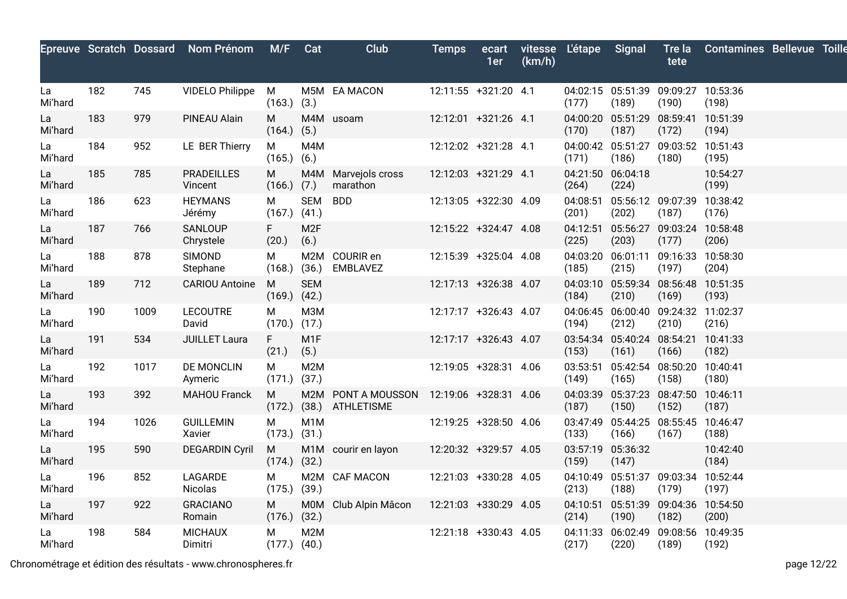|               |     |      | Epreuve Scratch Dossard Nom Prénom | M/F                   | Cat                      | Club                                                                | <b>Temps</b>          | ecart<br>1er | (km/h) | vitesse L'étape Signal |                                              | tete              | Tre la Contamines Bellevue Toille |  |
|---------------|-----|------|------------------------------------|-----------------------|--------------------------|---------------------------------------------------------------------|-----------------------|--------------|--------|------------------------|----------------------------------------------|-------------------|-----------------------------------|--|
| La<br>Mi'hard | 182 | 745  | <b>VIDELO Philippe</b>             | M<br>$(163.)$ $(3.)$  |                          | M5M EA MACON                                                        | 12:11:55 +321:20 4.1  |              |        | (177)                  | 04:02:15 05:51:39 09:09:27 10:53:36<br>(189) | (190)             | (198)                             |  |
| La<br>Mi'hard | 183 | 979  | PINEAU Alain                       | М<br>$(164.)$ $(5.)$  |                          | M4M usoam                                                           | 12:12:01 +321:26 4.1  |              |        | (170)                  | 04:00:20 05:51:29 08:59:41<br>(187)          | (172)             | 10:51:39<br>(194)                 |  |
| La<br>Mi'hard | 184 | 952  | LE BER Thierry                     | M<br>$(165.)$ $(6.)$  | M4M                      |                                                                     | 12:12:02 +321:28 4.1  |              |        | (171)                  | 04:00:42 05:51:27 09:03:52<br>(186)          | (180)             | 10:51:43<br>(195)                 |  |
| La<br>Mi'hard | 185 | 785  | <b>PRADEILLES</b><br>Vincent       | M<br>$(166.)$ $(7.)$  |                          | M4M Marvejols cross<br>marathon                                     | 12:12:03 +321:29 4.1  |              |        | (264)                  | 04:21:50 06:04:18<br>(224)                   |                   | 10:54:27<br>(199)                 |  |
| La<br>Mi'hard | 186 | 623  | <b>HEYMANS</b><br>Jérémy           | М<br>$(167.)$ $(41.)$ | <b>SEM</b>               | <b>BDD</b>                                                          | 12:13:05 +322:30 4.09 |              |        | (201)                  | 04:08:51  05:56:12  09:07:39<br>(202)        | (187)             | 10:38:42<br>(176)                 |  |
| La<br>Mi'hard | 187 | 766  | SANLOUP<br>Chrystele               | F.<br>(20.)           | M <sub>2F</sub><br>(6.)  |                                                                     | 12:15:22 +324:47 4.08 |              |        | 04:12:51<br>(225)      | 05:56:27 09:03:24 10:58:48<br>(203)          | (177)             | (206)                             |  |
| La<br>Mi'hard | 188 | 878  | <b>SIMOND</b><br>Stephane          | M<br>$(168.)$ $(36.)$ |                          | M2M COURIR en<br>EMBLAVEZ                                           | 12:15:39 +325:04 4.08 |              |        | (185)                  | 04:03:20 06:01:11<br>(215)                   | 09:16:33<br>(197) | 10:58:30<br>(204)                 |  |
| La<br>Mi'hard | 189 | 712  | <b>CARIOU Antoine</b>              | M<br>$(169.)$ $(42.)$ | <b>SEM</b>               |                                                                     | 12:17:13 +326:38 4.07 |              |        | (184)                  | 04:03:10 05:59:34 08:56:48 10:51:35<br>(210) | (169)             | (193)                             |  |
| La<br>Mi'hard | 190 | 1009 | <b>LECOUTRE</b><br>David           | M<br>$(170.)$ $(17.)$ | M3M                      |                                                                     | 12:17:17 +326:43 4.07 |              |        | (194)                  | 04:06:45 06:00:40 09:24:32 11:02:37<br>(212) | (210)             | (216)                             |  |
| La<br>Mi'hard | 191 | 534  | JUILLET Laura                      | F.<br>(21.)           | M <sub>1</sub> F<br>(5.) |                                                                     | 12:17:17 +326:43 4.07 |              |        | (153)                  | 03:54:34 05:40:24 08:54:21<br>(161)          | (166)             | 10:41:33<br>(182)                 |  |
| La<br>Mi'hard | 192 | 1017 | <b>DE MONCLIN</b><br>Aymeric       | M<br>$(171.)$ $(37.)$ | M2M                      |                                                                     | 12:19:05 +328:31 4.06 |              |        | 03:53:51<br>(149)      | 05:42:54 08:50:20<br>(165)                   | (158)             | 10:40:41<br>(180)                 |  |
| La<br>Mi'hard | 193 | 392  | <b>MAHOU Franck</b>                | M                     |                          | M2M PONT A MOUSSON 12:19:06 +328:31 4.06<br>(172.) (38.) ATHLETISME |                       |              |        | (187)                  | 04:03:39 05:37:23 08:47:50<br>(150)          | (152)             | 10:46:11<br>(187)                 |  |
| La<br>Mi'hard | 194 | 1026 | <b>GUILLEMIN</b><br>Xavier         | M<br>$(173.)$ $(31.)$ | M <sub>1</sub> M         |                                                                     | 12:19:25 +328:50 4.06 |              |        | (133)                  | 03:47:49 05:44:25 08:55:45<br>(166)          | (167)             | 10:46:47<br>(188)                 |  |
| La<br>Mi'hard | 195 | 590  | <b>DEGARDIN Cyril</b>              | M<br>$(174.)$ $(32.)$ |                          | M1M courir en layon                                                 | 12:20:32 +329:57 4.05 |              |        | (159)                  | 03:57:19 05:36:32<br>(147)                   |                   | 10:42:40<br>(184)                 |  |
| La<br>Mi'hard | 196 | 852  | LAGARDE<br>Nicolas                 | M<br>$(175.)$ $(39.)$ |                          | M2M CAF MACON                                                       | 12:21:03 +330:28 4.05 |              |        | (213)                  | 04:10:49 05:51:37 09:03:34<br>(188)          | (179)             | 10:52:44<br>(197)                 |  |
| La<br>Mi'hard | 197 | 922  | <b>GRACIANO</b><br>Romain          | M<br>$(176.)$ $(32.)$ |                          | M0M Club Alpin Mâcon                                                | 12:21:03 +330:29 4.05 |              |        | (214)                  | 04:10:51 05:51:39 09:04:36<br>(190)          | (182)             | 10:54:50<br>(200)                 |  |
| La<br>Mi'hard | 198 | 584  | <b>MICHAUX</b><br>Dimitri          | M<br>$(177.)$ $(40.)$ | M <sub>2</sub> M         |                                                                     | 12:21:18 +330:43 4.05 |              |        | (217)                  | 04:11:33 06:02:49 09:08:56 10:49:35<br>(220) | (189)             | (192)                             |  |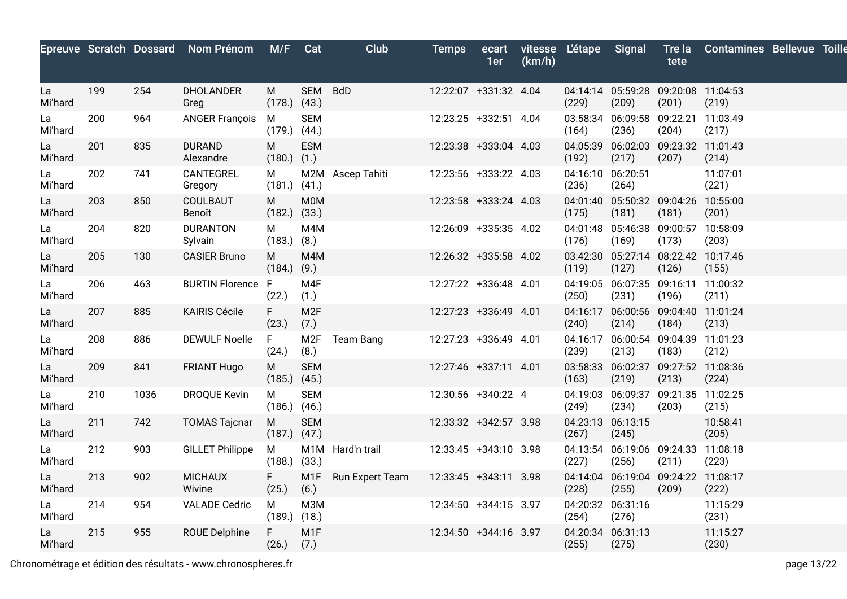|               |     |      | Epreuve Scratch Dossard Nom Prénom | M/F                   | Cat                      | Club             | <b>Temps</b>          | ecart<br>1er | (km/h) | vitesse L'étape Signal     |                                                 | tete                                | Tre la Contamines Bellevue Toille |  |
|---------------|-----|------|------------------------------------|-----------------------|--------------------------|------------------|-----------------------|--------------|--------|----------------------------|-------------------------------------------------|-------------------------------------|-----------------------------------|--|
| La<br>Mi'hard | 199 | 254  | <b>DHOLANDER</b><br>Greg           | M<br>$(178.)$ $(43.)$ | <b>SEM</b>               | <b>BdD</b>       | 12:22:07 +331:32 4.04 |              |        | (229)                      | 04:14:14 05:59:28 09:20:08<br>(209)             | (201)                               | 11:04:53<br>(219)                 |  |
| La<br>Mi'hard | 200 | 964  | <b>ANGER François</b>              | M<br>$(179.)$ $(44.)$ | <b>SEM</b>               |                  | 12:23:25 +332:51 4.04 |              |        | (164)                      | 03:58:34 06:09:58 09:22:21<br>(236)             | (204)                               | 11:03:49<br>(217)                 |  |
| La<br>Mi'hard | 201 | 835  | <b>DURAND</b><br>Alexandre         | M<br>$(180.)$ $(1.)$  | <b>ESM</b>               |                  | 12:23:38 +333:04 4.03 |              |        | (192)                      | 04:05:39 06:02:03 09:23:32<br>(217)             | (207)                               | 11:01:43<br>(214)                 |  |
| La<br>Mi'hard | 202 | 741  | CANTEGREL<br>Gregory               | М<br>$(181.)$ $(41.)$ |                          | M2M Ascep Tahiti | 12:23:56 +333:22 4.03 |              |        | 04:16:10 06:20:51<br>(236) | (264)                                           |                                     | 11:07:01<br>(221)                 |  |
| La<br>Mi'hard | 203 | 850  | <b>COULBAUT</b><br>Benoît          | М<br>$(182.)$ $(33.)$ | <b>M0M</b>               |                  | 12:23:58 +333:24 4.03 |              |        | (175)                      | 04:01:40 05:50:32 09:04:26<br>(181)             | (181)                               | 10:55:00<br>(201)                 |  |
| La<br>Mi'hard | 204 | 820  | <b>DURANTON</b><br>Sylvain         | М<br>$(183.)$ $(8.)$  | M4M                      |                  | 12:26:09 +335:35 4.02 |              |        | (176)                      | 04:01:48 05:46:38 09:00:57<br>(169)             | (173)                               | 10:58:09<br>(203)                 |  |
| La<br>Mi'hard | 205 | 130  | <b>CASIER Bruno</b>                | M<br>$(184.)$ $(9.)$  | M4M                      |                  | 12:26:32 +335:58 4.02 |              |        | (119)                      | 03:42:30 05:27:14 08:22:42 10:17:46<br>(127)    | (126)                               | (155)                             |  |
| La<br>Mi'hard | 206 | 463  | <b>BURTIN Florence F</b>           | (22.)                 | M4F<br>(1.)              |                  | 12:27:22 +336:48 4.01 |              |        | (250)                      | 04:19:05 06:07:35 09:16:11<br>(231)             | (196)                               | 11:00:32<br>(211)                 |  |
| La<br>Mi'hard | 207 | 885  | <b>KAIRIS Cécile</b>               | F.<br>(23.)           | M <sub>2F</sub><br>(7.)  |                  | 12:27:23 +336:49 4.01 |              |        | 04:16:17<br>(240)          | (214)                                           | 06:00:56 09:04:40 11:01:24<br>(184) | (213)                             |  |
| La<br>Mi'hard | 208 | 886  | <b>DEWULF Noelle</b>               | F.<br>(24.)           | M <sub>2F</sub><br>(8.)  | <b>Team Bang</b> | 12:27:23 +336:49 4.01 |              |        | 04:16:17<br>(239)          | (213)                                           | 06:00:54 09:04:39<br>(183)          | 11:01:23<br>(212)                 |  |
| La<br>Mi'hard | 209 | 841  | <b>FRIANT Hugo</b>                 | M<br>$(185.)$ $(45.)$ | <b>SEM</b>               |                  | 12:27:46 +337:11 4.01 |              |        | (163)                      | 03:58:33  06:02:37  09:27:52  11:08:36<br>(219) | (213)                               | (224)                             |  |
| La<br>Mi'hard | 210 | 1036 | <b>DROQUE Kevin</b>                | М<br>$(186.)$ $(46.)$ | <b>SEM</b>               |                  | 12:30:56 +340:22 4    |              |        | (249)                      | 04:19:03 06:09:37<br>(234)                      | 09:21:35<br>(203)                   | 11:02:25<br>(215)                 |  |
| La<br>Mi'hard | 211 | 742  | <b>TOMAS Tajcnar</b>               | M<br>$(187.)$ $(47.)$ | <b>SEM</b>               |                  | 12:33:32 +342:57 3.98 |              |        | (267)                      | 04:23:13 06:13:15<br>(245)                      |                                     | 10:58:41<br>(205)                 |  |
| La<br>Mi'hard | 212 | 903  | <b>GILLET Philippe</b>             | M<br>$(188.)$ $(33.)$ |                          | M1M Hard'n trail | 12:33:45 +343:10 3.98 |              |        | (227)                      | 04:13:54 06:19:06 09:24:33<br>(256)             | (211)                               | 11:08:18<br>(223)                 |  |
| La<br>Mi'hard | 213 | 902  | <b>MICHAUX</b><br>Wivine           | F.<br>(25.)           | M <sub>1</sub> F<br>(6.) | Run Expert Team  | 12:33:45 +343:11 3.98 |              |        | (228)                      | 04:14:04  06:19:04  09:24:22  11:08:17<br>(255) | (209)                               | (222)                             |  |
| La<br>Mi'hard | 214 | 954  | <b>VALADE Cedric</b>               | M<br>$(189.)$ $(18.)$ | M3M                      |                  | 12:34:50 +344:15 3.97 |              |        | (254)                      | 04:20:32 06:31:16<br>(276)                      |                                     | 11:15:29<br>(231)                 |  |
| La<br>Mi'hard | 215 | 955  | <b>ROUE Delphine</b>               | F.<br>(26.)           | M <sub>1</sub> F<br>(7.) |                  | 12:34:50 +344:16 3.97 |              |        | (255)                      | 04:20:34 06:31:13<br>(275)                      |                                     | 11:15:27<br>(230)                 |  |
|               |     |      |                                    |                       |                          |                  |                       |              |        |                            |                                                 |                                     |                                   |  |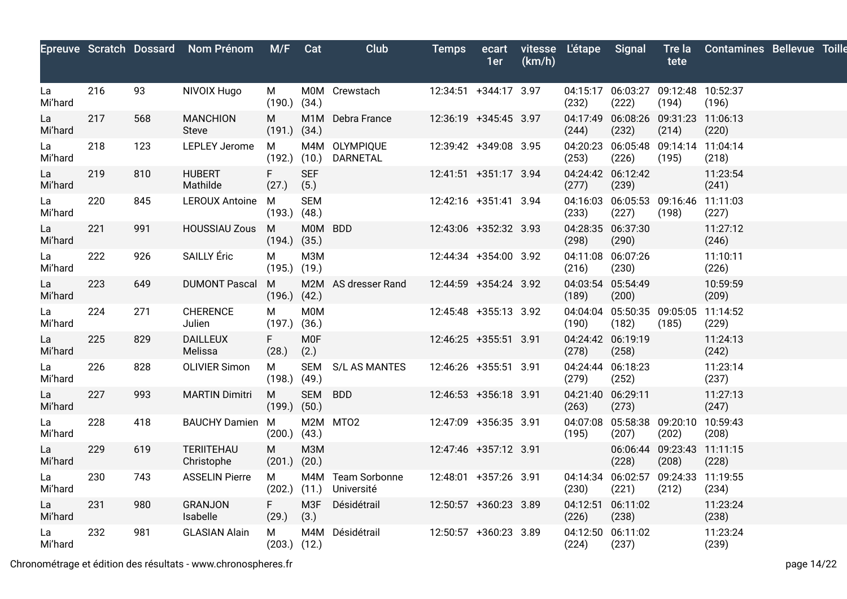|               |     |     | Epreuve Scratch Dossard Nom Prénom | M/F Cat                |                    | Club                            | <b>Temps</b>          | 1er | (km/h) | ecart vitesse L'étape Signal |                                              | tete  | Tre la Contamines Bellevue Toille |  |
|---------------|-----|-----|------------------------------------|------------------------|--------------------|---------------------------------|-----------------------|-----|--------|------------------------------|----------------------------------------------|-------|-----------------------------------|--|
| La<br>Mi'hard | 216 | 93  | NIVOIX Hugo                        | M<br>$(190.)$ $(34.)$  |                    | M0M Crewstach                   | 12:34:51 +344:17 3.97 |     |        | (232)                        | 04:15:17 06:03:27 09:12:48 10:52:37<br>(222) | (194) | (196)                             |  |
| La<br>Mi'hard | 217 | 568 | <b>MANCHION</b><br><b>Steve</b>    | M<br>$(191.)$ $(34.)$  |                    | M1M Debra France                | 12:36:19 +345:45 3.97 |     |        | (244)                        | 04:17:49 06:08:26 09:31:23 11:06:13<br>(232) | (214) | (220)                             |  |
| La<br>Mi'hard | 218 | 123 | LEPLEY Jerome                      | M<br>$(192.)$ $(10.)$  |                    | M4M OLYMPIQUE<br>DARNETAL       | 12:39:42 +349:08 3.95 |     |        | (253)                        | 04:20:23 06:05:48 09:14:14<br>(226)          | (195) | 11:04:14<br>(218)                 |  |
| La<br>Mi'hard | 219 | 810 | <b>HUBERT</b><br>Mathilde          | F.<br>(27.)            | <b>SEF</b><br>(5.) |                                 | 12:41:51 +351:17 3.94 |     |        | (277)                        | 04:24:42 06:12:42<br>(239)                   |       | 11:23:54<br>(241)                 |  |
| La<br>Mi'hard | 220 | 845 | LEROUX Antoine M                   | $(193.)$ $(48.)$       | <b>SEM</b>         |                                 | 12:42:16 +351:41 3.94 |     |        | (233)                        | 04:16:03 06:05:53 09:16:46<br>(227)          | (198) | 11:11:03<br>(227)                 |  |
| La<br>Mi'hard | 221 | 991 | <b>HOUSSIAU Zous</b>               | M.<br>$(194.)$ $(35.)$ | MOM BDD            |                                 | 12:43:06 +352:32 3.93 |     |        | (298)                        | 04:28:35 06:37:30<br>(290)                   |       | 11:27:12<br>(246)                 |  |
| La<br>Mi'hard | 222 | 926 | SAILLY Éric                        | M<br>$(195.)$ $(19.)$  | МЗМ                |                                 | 12:44:34 +354:00 3.92 |     |        | (216)                        | 04:11:08 06:07:26<br>(230)                   |       | 11:10:11<br>(226)                 |  |
| La<br>Mi'hard | 223 | 649 | <b>DUMONT Pascal</b>               | M<br>$(196.)$ $(42.)$  |                    | M2M AS dresser Rand             | 12:44:59 +354:24 3.92 |     |        | (189)                        | 04:03:54 05:54:49<br>(200)                   |       | 10:59:59<br>(209)                 |  |
| La<br>Mi'hard | 224 | 271 | <b>CHERENCE</b><br>Julien          | M<br>$(197.)$ $(36.)$  | <b>M0M</b>         |                                 | 12:45:48 +355:13 3.92 |     |        | (190)                        | 04:04:04 05:50:35 09:05:05<br>(182)          | (185) | 11:14:52<br>(229)                 |  |
| La<br>Mi'hard | 225 | 829 | <b>DAILLEUX</b><br>Melissa         | F.<br>(28.)            | <b>MOF</b><br>(2.) |                                 | 12:46:25 +355:51 3.91 |     |        | (278)                        | 04:24:42 06:19:19<br>(258)                   |       | 11:24:13<br>(242)                 |  |
| La<br>Mi'hard | 226 | 828 | <b>OLIVIER Simon</b>               | M<br>$(198.)$ $(49.)$  |                    | SEM S/L AS MANTES               | 12:46:26 +355:51 3.91 |     |        | (279)                        | 04:24:44 06:18:23<br>(252)                   |       | 11:23:14<br>(237)                 |  |
| La<br>Mi'hard | 227 | 993 | <b>MARTIN Dimitri</b>              | M<br>$(199.)$ $(50.)$  | <b>SEM</b>         | <b>BDD</b>                      | 12:46:53 +356:18 3.91 |     |        | (263)                        | 04:21:40 06:29:11<br>(273)                   |       | 11:27:13<br>(247)                 |  |
| La<br>Mi'hard | 228 | 418 | <b>BAUCHY Damien M</b>             | $(200.)$ $(43.)$       |                    | M2M MT02                        | 12:47:09 +356:35 3.91 |     |        | (195)                        | 04:07:08 05:58:38 09:20:10<br>(207)          | (202) | 10:59:43<br>(208)                 |  |
| La<br>Mi'hard | 229 | 619 | TERIITEHAU<br>Christophe           | M<br>$(201.)$ $(20.)$  | МЗМ                |                                 | 12:47:46 +357:12 3.91 |     |        |                              | 06:06:44 09:23:43<br>(228)                   | (208) | 11:11:15<br>(228)                 |  |
| La<br>Mi'hard | 230 | 743 | <b>ASSELIN Pierre</b>              | M<br>$(202.)$ $(11.)$  |                    | M4M Team Sorbonne<br>Université | 12:48:01 +357:26 3.91 |     |        | (230)                        | 04:14:34 06:02:57 09:24:33<br>(221)          | (212) | 11:19:55<br>(234)                 |  |
| La<br>Mi'hard | 231 | 980 | <b>GRANJON</b><br>Isabelle         | F.<br>(29.)            | M3F<br>(3.)        | Désidétrail                     | 12:50:57 +360:23 3.89 |     |        | (226)                        | 04:12:51 06:11:02<br>(238)                   |       | 11:23:24<br>(238)                 |  |
| La<br>Mi'hard | 232 | 981 | <b>GLASIAN Alain</b>               | M<br>$(203.)$ $(12.)$  |                    | M4M Désidétrail                 | 12:50:57 +360:23 3.89 |     |        | (224)                        | 04:12:50 06:11:02<br>(237)                   |       | 11:23:24<br>(239)                 |  |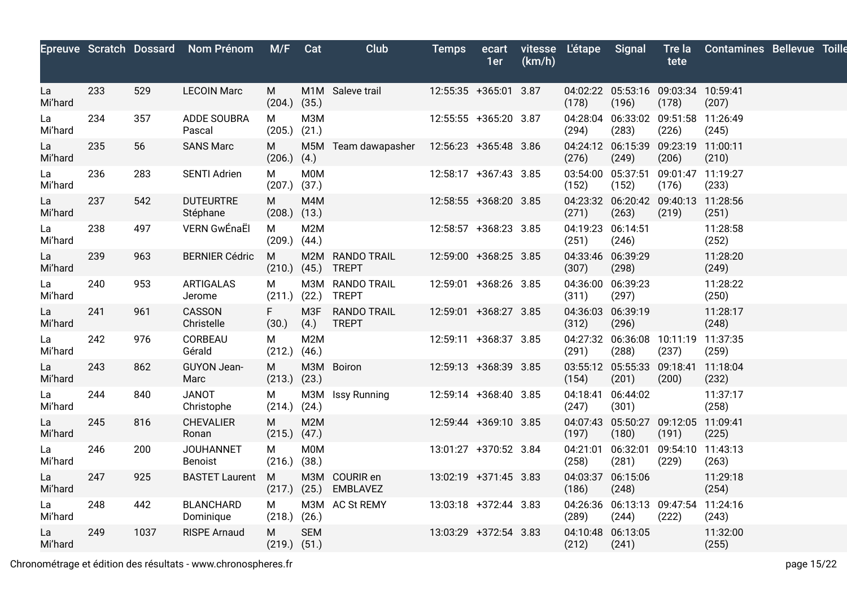|               |     |      | Epreuve Scratch Dossard Nom Prénom | M/F                   | Cat              | Club                             | <b>Temps</b>          | ecart<br>1er | (km/h) | vitesse L'étape Signal |                                                 | tete                       | Tre la Contamines Bellevue Toille |  |
|---------------|-----|------|------------------------------------|-----------------------|------------------|----------------------------------|-----------------------|--------------|--------|------------------------|-------------------------------------------------|----------------------------|-----------------------------------|--|
| La<br>Mi'hard | 233 | 529  | <b>LECOIN Marc</b>                 | M<br>$(204.)$ $(35.)$ |                  | M1M Saleve trail                 | 12:55:35 +365:01 3.87 |              |        | (178)                  | 04:02:22 05:53:16 09:03:34 10:59:41<br>(196)    | (178)                      | (207)                             |  |
| La<br>Mi'hard | 234 | 357  | ADDE SOUBRA<br>Pascal              | M<br>$(205.)$ $(21.)$ | M3M              |                                  | 12:55:55 +365:20 3.87 |              |        | (294)                  | 04:28:04  06:33:02  09:51:58  11:26:49<br>(283) | (226)                      | (245)                             |  |
| La<br>Mi'hard | 235 | 56   | <b>SANS Marc</b>                   | M<br>$(206.)$ $(4.)$  |                  | M5M Team dawapasher              | 12:56:23 +365:48 3.86 |              |        | (276)                  | 04:24:12 06:15:39 09:23:19 11:00:11<br>(249)    | (206)                      | (210)                             |  |
| La<br>Mi'hard | 236 | 283  | <b>SENTI Adrien</b>                | М<br>$(207.)$ $(37.)$ | M0M              |                                  | 12:58:17 +367:43 3.85 |              |        | (152)                  | 03:54:00 05:37:51<br>(152)                      | 09:01:47 11:19:27<br>(176) | (233)                             |  |
| La<br>Mi'hard | 237 | 542  | <b>DUTEURTRE</b><br>Stéphane       | M<br>$(208.)$ $(13.)$ | M4M              |                                  | 12:58:55 +368:20 3.85 |              |        | (271)                  | 04:23:32 06:20:42 09:40:13<br>(263)             | (219)                      | 11:28:56<br>(251)                 |  |
| La<br>Mi'hard | 238 | 497  | VERN GwÉnaËl                       | Μ<br>$(209.)$ $(44.)$ | M <sub>2</sub> M |                                  | 12:58:57 +368:23 3.85 |              |        | (251)                  | 04:19:23 06:14:51<br>(246)                      |                            | 11:28:58<br>(252)                 |  |
| La<br>Mi'hard | 239 | 963  | <b>BERNIER Cédric</b>              | M<br>$(210.)$ $(45.)$ |                  | M2M RANDO TRAIL<br><b>TREPT</b>  | 12:59:00 +368:25 3.85 |              |        | (307)                  | 04:33:46 06:39:29<br>(298)                      |                            | 11:28:20<br>(249)                 |  |
| La<br>Mi'hard | 240 | 953  | <b>ARTIGALAS</b><br>Jerome         | Μ<br>$(211.)$ $(22.)$ |                  | M3M RANDO TRAIL<br><b>TREPT</b>  | 12:59:01 +368:26 3.85 |              |        | (311)                  | 04:36:00 06:39:23<br>(297)                      |                            | 11:28:22<br>(250)                 |  |
| La<br>Mi'hard | 241 | 961  | CASSON<br>Christelle               | F.<br>(30.)           | M3F<br>(4.)      | RANDO TRAIL<br><b>TREPT</b>      | 12:59:01 +368:27 3.85 |              |        | (312)                  | 04:36:03 06:39:19<br>(296)                      |                            | 11:28:17<br>(248)                 |  |
| La<br>Mi'hard | 242 | 976  | CORBEAU<br>Gérald                  | M<br>$(212.)$ $(46.)$ | M <sub>2</sub> M |                                  | 12:59:11 +368:37 3.85 |              |        | (291)                  | 04:27:32 06:36:08 10:11:19 11:37:35<br>(288)    | (237)                      | (259)                             |  |
| La<br>Mi'hard | 243 | 862  | <b>GUYON Jean-</b><br>Marc         | M<br>$(213.)$ $(23.)$ |                  | M3M Boiron                       | 12:59:13 +368:39 3.85 |              |        | (154)                  | 03:55:12 05:55:33 09:18:41<br>(201)             | (200)                      | 11:18:04<br>(232)                 |  |
| La<br>Mi'hard | 244 | 840  | <b>JANOT</b><br>Christophe         | M<br>$(214.)$ $(24.)$ |                  | M3M Issy Running                 | 12:59:14 +368:40 3.85 |              |        | 04:18:41<br>(247)      | 06:44:02<br>(301)                               |                            | 11:37:17<br>(258)                 |  |
| La<br>Mi'hard | 245 | 816  | <b>CHEVALIER</b><br>Ronan          | M<br>$(215.)$ $(47.)$ | M2M              |                                  | 12:59:44 +369:10 3.85 |              |        | (197)                  | 04:07:43 05:50:27 09:12:05<br>(180)             | (191)                      | 11:09:41<br>(225)                 |  |
| La<br>Mi'hard | 246 | 200  | <b>JOUHANNET</b><br>Benoist        | M<br>$(216.)$ $(38.)$ | M0M              |                                  | 13:01:27 +370:52 3.84 |              |        | 04:21:01<br>(258)      | 06:32:01<br>(281)                               | 09:54:10<br>(229)          | 11:43:13<br>(263)                 |  |
| La<br>Mi'hard | 247 | 925  | <b>BASTET Laurent</b>              | M<br>$(217.)$ $(25.)$ |                  | M3M COURIR en<br><b>EMBLAVEZ</b> | 13:02:19 +371:45 3.83 |              |        | (186)                  | 04:03:37 06:15:06<br>(248)                      |                            | 11:29:18<br>(254)                 |  |
| La<br>Mi'hard | 248 | 442  | <b>BLANCHARD</b><br>Dominique      | М<br>$(218.)$ $(26.)$ |                  | M3M AC St REMY                   | 13:03:18 +372:44 3.83 |              |        | (289)                  | 04:26:36 06:13:13 09:47:54<br>(244)             | (222)                      | 11:24:16<br>(243)                 |  |
| La<br>Mi'hard | 249 | 1037 | <b>RISPE Arnaud</b>                | M<br>$(219.)$ $(51.)$ | <b>SEM</b>       |                                  | 13:03:29 +372:54 3.83 |              |        | (212)                  | 04:10:48 06:13:05<br>(241)                      |                            | 11:32:00<br>(255)                 |  |
|               |     |      |                                    |                       |                  |                                  |                       |              |        |                        |                                                 |                            |                                   |  |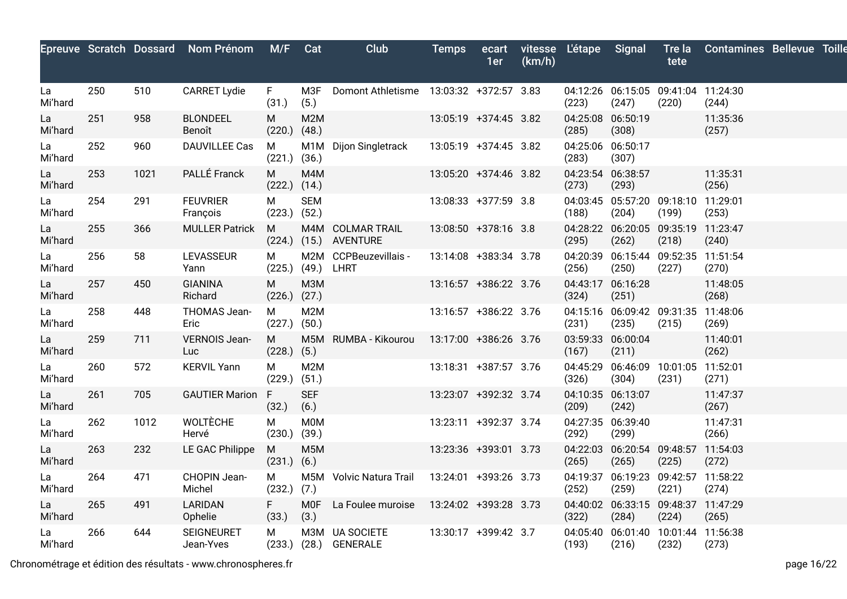|               |     |      | Epreuve Scratch Dossard Nom Prénom | M/F                   | Cat                | Club                                    | <b>Temps</b>          | ecart<br>1er | (km/h) | vitesse L'étape Signal |                                              | tete                                | Tre la Contamines Bellevue Toille |  |
|---------------|-----|------|------------------------------------|-----------------------|--------------------|-----------------------------------------|-----------------------|--------------|--------|------------------------|----------------------------------------------|-------------------------------------|-----------------------------------|--|
| La<br>Mi'hard | 250 | 510  | <b>CARRET Lydie</b>                | F<br>(31.)            | M3F<br>(5.)        | Domont Athletisme 13:03:32 +372:57 3.83 |                       |              |        | (223)                  | 04:12:26 06:15:05 09:41:04 11:24:30<br>(247) | (220)                               | (244)                             |  |
| La<br>Mi'hard | 251 | 958  | <b>BLONDEEL</b><br>Benoît          | M<br>$(220.)$ $(48.)$ | M2M                |                                         | 13:05:19 +374:45 3.82 |              |        | (285)                  | 04:25:08 06:50:19<br>(308)                   |                                     | 11:35:36<br>(257)                 |  |
| La<br>Mi'hard | 252 | 960  | <b>DAUVILLEE Cas</b>               | М<br>$(221.)$ $(36.)$ |                    | M1M Dijon Singletrack                   | 13:05:19 +374:45 3.82 |              |        | (283)                  | 04:25:06 06:50:17<br>(307)                   |                                     |                                   |  |
| La<br>Mi'hard | 253 | 1021 | PALLÉ Franck                       | M<br>$(222.)$ $(14.)$ | M4M                |                                         | 13:05:20 +374:46 3.82 |              |        | (273)                  | 04:23:54 06:38:57<br>(293)                   |                                     | 11:35:31<br>(256)                 |  |
| La<br>Mi'hard | 254 | 291  | <b>FEUVRIER</b><br>François        | M<br>$(223.)$ $(52.)$ | <b>SEM</b>         |                                         | 13:08:33 +377:59 3.8  |              |        | (188)                  | 04:03:45 05:57:20 09:18:10<br>(204)          | (199)                               | 11:29:01<br>(253)                 |  |
| La<br>Mi'hard | 255 | 366  | <b>MULLER Patrick</b>              | м<br>$(224.)$ $(15.)$ |                    | M4M COLMAR TRAIL<br>AVENTURE            | 13:08:50 +378:16 3.8  |              |        | (295)                  | 04:28:22 06:20:05 09:35:19 11:23:47<br>(262) | (218)                               | (240)                             |  |
| La<br>Mi'hard | 256 | 58   | <b>LEVASSEUR</b><br>Yann           | М<br>$(225.)$ $(49.)$ |                    | M2M CCPBeuzevillais -<br><b>LHRT</b>    | 13:14:08 +383:34 3.78 |              |        | (256)                  | 04:20:39 06:15:44 09:52:35<br>(250)          | (227)                               | 11:51:54<br>(270)                 |  |
| La<br>Mi'hard | 257 | 450  | <b>GIANINA</b><br>Richard          | M<br>$(226.)$ $(27.)$ | <b>МЗМ</b>         |                                         | 13:16:57 +386:22 3.76 |              |        | (324)                  | 04:43:17 06:16:28<br>(251)                   |                                     | 11:48:05<br>(268)                 |  |
| La<br>Mi'hard | 258 | 448  | THOMAS Jean-<br>Eric               | М<br>$(227.)$ $(50.)$ | M2M                |                                         | 13:16:57 +386:22 3.76 |              |        | (231)                  | 04:15:16 06:09:42 09:31:35<br>(235)          | (215)                               | 11:48:06<br>(269)                 |  |
| La<br>Mi'hard | 259 | 711  | VERNOIS Jean-<br>Luc.              | M<br>$(228.)$ $(5.)$  |                    | M5M RUMBA - Kikourou                    | 13:17:00 +386:26 3.76 |              |        | (167)                  | 03:59:33 06:00:04<br>(211)                   |                                     | 11:40:01<br>(262)                 |  |
| La<br>Mi'hard | 260 | 572  | <b>KERVIL Yann</b>                 | M<br>$(229.)$ $(51.)$ | M <sub>2</sub> M   |                                         | 13:18:31 +387:57 3.76 |              |        | (326)                  | 04:45:29 06:46:09 10:01:05<br>(304)          | (231)                               | 11:52:01<br>(271)                 |  |
| La<br>Mi'hard | 261 | 705  | <b>GAUTIER Marion</b>              | F<br>(32.)            | <b>SEF</b><br>(6.) |                                         | 13:23:07 +392:32 3.74 |              |        | (209)                  | 04:10:35 06:13:07<br>(242)                   |                                     | 11:47:37<br>(267)                 |  |
| La<br>Mi'hard | 262 | 1012 | <b>WOLTÈCHE</b><br>Hervé           | M<br>$(230.)$ $(39.)$ | M0M                |                                         | 13:23:11 +392:37 3.74 |              |        | (292)                  | 04:27:35 06:39:40<br>(299)                   |                                     | 11:47:31<br>(266)                 |  |
| La<br>Mi'hard | 263 | 232  | LE GAC Philippe                    | M<br>$(231.)$ $(6.)$  | M <sub>5</sub> M   |                                         | 13:23:36 +393:01 3.73 |              |        | (265)                  | 04:22:03 06:20:54 09:48:57<br>(265)          | (225)                               | 11:54:03<br>(272)                 |  |
| La<br>Mi'hard | 264 | 471  | CHOPIN Jean-<br>Michel             | M<br>$(232.)$ $(7.)$  |                    | M5M Volvic Natura Trail                 | 13:24:01 +393:26 3.73 |              |        | 04:19:37<br>(252)      | 06:19:23 09:42:57<br>(259)                   | (221)                               | 11:58:22<br>(274)                 |  |
| La<br>Mi'hard | 265 | 491  | LARIDAN<br>Ophelie                 | F.<br>(33.)           | <b>MOF</b><br>(3.) | La Foulee muroise                       | 13:24:02 +393:28 3.73 |              |        | (322)                  | 04:40:02 06:33:15 09:48:37 11:47:29<br>(284) | (224)                               | (265)                             |  |
| La<br>Mi'hard | 266 | 644  | <b>SEIGNEURET</b><br>Jean-Yves     | M                     |                    | M3M UA SOCIETE<br>(233.) (28.) GENERALE | 13:30:17 +399:42 3.7  |              |        | 04:05:40<br>(193)      | (216)                                        | 06:01:40 10:01:44 11:56:38<br>(232) | (273)                             |  |

Chronométrage et édition des résultats - www.chronospheres.fr page 16/22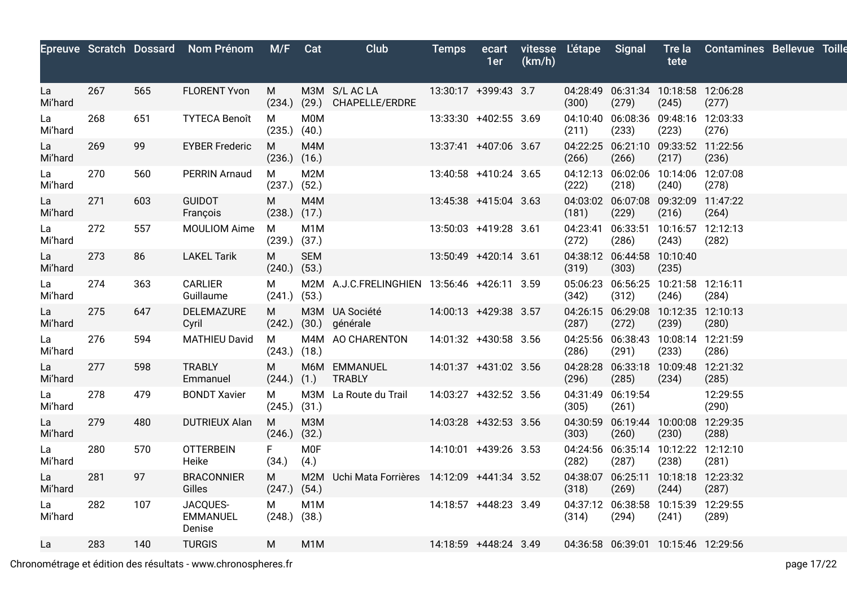|               |     |     | Epreuve Scratch Dossard Nom Prénom    | M/F Cat               |                    | Club                                          | <b>Temps</b>          | ecart<br>1er | (km/h) | vitesse L'étape Signal     |                                                 | tete                       | Tre la Contamines Bellevue Toille |  |
|---------------|-----|-----|---------------------------------------|-----------------------|--------------------|-----------------------------------------------|-----------------------|--------------|--------|----------------------------|-------------------------------------------------|----------------------------|-----------------------------------|--|
| La<br>Mi'hard | 267 | 565 | <b>FLORENT Yvon</b>                   | M                     |                    | M3M S/L AC LA<br>(234.) (29.) CHAPELLE/ERDRE  | 13:30:17 +399:43 3.7  |              |        | (300)                      | 04:28:49  06:31:34  10:18:58  12:06:28<br>(279) | (245)                      | (277)                             |  |
| La<br>Mi'hard | 268 | 651 | <b>TYTECA Benoît</b>                  | м<br>$(235.)$ $(40.)$ | M0M                |                                               | 13:33:30 +402:55 3.69 |              |        | (211)                      | 04:10:40 06:08:36<br>(233)                      | 09:48:16 12:03:33<br>(223) | (276)                             |  |
| La<br>Mi'hard | 269 | 99  | <b>EYBER Frederic</b>                 | M<br>$(236.)$ $(16.)$ | M4M                |                                               | 13:37:41 +407:06 3.67 |              |        | (266)                      | 04:22:25 06:21:10<br>(266)                      | 09:33:52 11:22:56<br>(217) | (236)                             |  |
| La<br>Mi'hard | 270 | 560 | <b>PERRIN Arnaud</b>                  | M<br>$(237.)$ $(52.)$ | M2M                |                                               | 13:40:58 +410:24 3.65 |              |        | (222)                      | 04:12:13 06:02:06<br>(218)                      | 10:14:06 12:07:08<br>(240) | (278)                             |  |
| La<br>Mi'hard | 271 | 603 | <b>GUIDOT</b><br>François             | М<br>$(238.)$ $(17.)$ | M4M                |                                               | 13:45:38 +415:04 3.63 |              |        | (181)                      | 04:03:02  06:07:08  09:32:09  11:47:22<br>(229) | (216)                      | (264)                             |  |
| La<br>Mi'hard | 272 | 557 | MOULIOM Aime                          | M<br>$(239.)$ $(37.)$ | M1M                |                                               | 13:50:03 +419:28 3.61 |              |        | 04:23:41 06:33:51<br>(272) | (286)                                           | 10:16:57 12:12:13<br>(243) | (282)                             |  |
| La<br>Mi'hard | 273 | 86  | <b>LAKEL Tarik</b>                    | М<br>$(240.)$ $(53.)$ | <b>SEM</b>         |                                               | 13:50:49 +420:14 3.61 |              |        | (319)                      | 04:38:12 06:44:58<br>(303)                      | 10:10:40<br>(235)          |                                   |  |
| La<br>Mi'hard | 274 | 363 | <b>CARLIER</b><br>Guillaume           | M<br>$(241.)$ $(53.)$ |                    | M2M A.J.C.FRELINGHIEN 13:56:46 +426:11 3.59   |                       |              |        | (342)                      | 05:06:23 06:56:25<br>(312)                      | 10:21:58 12:16:11<br>(246) | (284)                             |  |
| La<br>Mi'hard | 275 | 647 | DELEMAZURE<br>Cyril                   | M                     |                    | M3M UA Société<br>(242.) (30.) générale       | 14:00:13 +429:38 3.57 |              |        | (287)                      | 04:26:15 06:29:08<br>(272)                      | 10:12:35 12:10:13<br>(239) | (280)                             |  |
| La<br>Mi'hard | 276 | 594 | <b>MATHIEU David</b>                  | M<br>$(243.)$ $(18.)$ |                    | M4M AO CHARENTON                              | 14:01:32 +430:58 3.56 |              |        | (286)                      | 04:25:56 06:38:43<br>(291)                      | 10:08:14 12:21:59<br>(233) | (286)                             |  |
| La<br>Mi'hard | 277 | 598 | <b>TRABLY</b><br>Emmanuel             | M<br>$(244.)$ $(1.)$  |                    | M6M EMMANUEL<br><b>TRABLY</b>                 | 14:01:37 +431:02 3.56 |              |        | (296)                      | 04:28:28 06:33:18 10:09:48 12:21:32<br>(285)    | (234)                      | (285)                             |  |
| La<br>Mi'hard | 278 | 479 | <b>BONDT Xavier</b>                   | M<br>$(245.)$ $(31.)$ |                    | M3M La Route du Trail                         | 14:03:27 +432:52 3.56 |              |        | (305)                      | 04:31:49 06:19:54<br>(261)                      |                            | 12:29:55<br>(290)                 |  |
| La<br>Mi'hard | 279 | 480 | <b>DUTRIEUX Alan</b>                  | M<br>$(246.)$ $(32.)$ | МЗМ                |                                               | 14:03:28 +432:53 3.56 |              |        | (303)                      | 04:30:59 06:19:44 10:00:08 12:29:35<br>(260)    | (230)                      | (288)                             |  |
| La<br>Mi'hard | 280 | 570 | <b>OTTERBEIN</b><br>Heike             | F.<br>(34.)           | <b>MOF</b><br>(4.) |                                               | 14:10:01 +439:26 3.53 |              |        | (282)                      | 04:24:56 06:35:14<br>(287)                      | 10:12:22 12:12:10<br>(238) | (281)                             |  |
| La<br>Mi'hard | 281 | 97  | <b>BRACONNIER</b><br>Gilles           | M<br>$(247.)$ $(54.)$ |                    | M2M Uchi Mata Forrières 14:12:09 +441:34 3.52 |                       |              |        | (318)                      | 04:38:07 06:25:11<br>(269)                      | 10:18:18 12:23:32<br>(244) | (287)                             |  |
| La<br>Mi'hard | 282 | 107 | JACQUES-<br><b>EMMANUEL</b><br>Denise | М<br>$(248.)$ $(38.)$ | M1M                |                                               | 14:18:57 +448:23 3.49 |              |        | (314)                      | 04:37:12 06:38:58<br>(294)                      | 10:15:39 12:29:55<br>(241) | (289)                             |  |
| La            | 283 | 140 | <b>TURGIS</b>                         | M                     | M1M                |                                               | 14:18:59 +448:24 3.49 |              |        |                            | 04:36:58 06:39:01 10:15:46 12:29:56             |                            |                                   |  |

Chronométrage et édition des résultats - www.chronospheres.fr page 17/22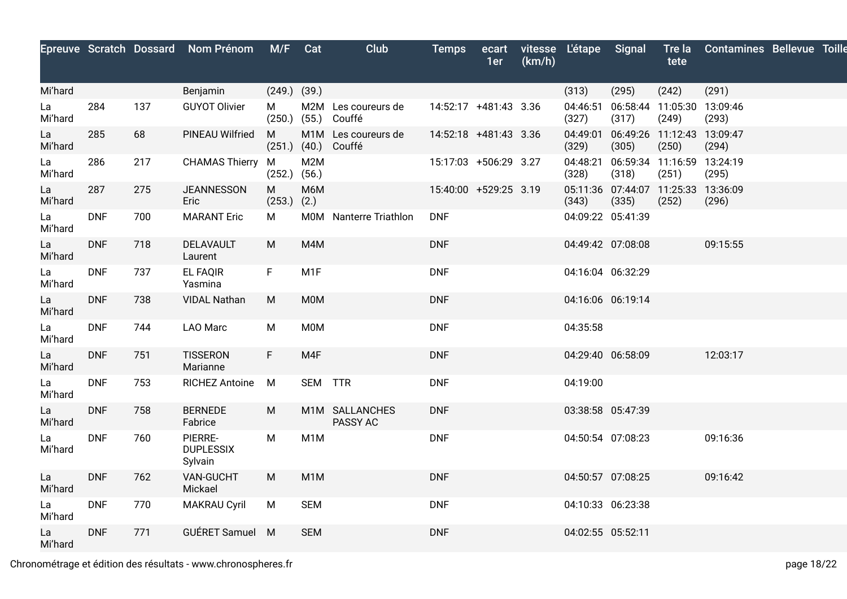|               |            |     | Epreuve Scratch Dossard Nom Prénom     | M/F Cat              |                  | Club                                       | <b>Temps</b>          | ecart<br>1er | (km/h) | vitesse L'étape Signal |                                              | Tre la<br>tete | <b>Contamines Bellevue Toille</b> |  |
|---------------|------------|-----|----------------------------------------|----------------------|------------------|--------------------------------------------|-----------------------|--------------|--------|------------------------|----------------------------------------------|----------------|-----------------------------------|--|
| Mi'hard       |            |     | Benjamin                               | $(249.)$ $(39.)$     |                  |                                            |                       |              |        | (313)                  | (295)                                        | (242)          | (291)                             |  |
| La<br>Mi'hard | 284        | 137 | <b>GUYOT Olivier</b>                   | M                    |                  | M2M Les coureurs de<br>(250.) (55.) Couffé | 14:52:17 +481:43 3.36 |              |        | (327)                  | 04:46:51 06:58:44 11:05:30 13:09:46<br>(317) | (249)          | (293)                             |  |
| La<br>Mi'hard | 285        | 68  | PINEAU Wilfried                        | M                    |                  | M1M Les coureurs de<br>(251.) (40.) Couffé | 14:52:18 +481:43 3.36 |              |        | (329)                  | 04:49:01 06:49:26 11:12:43 13:09:47<br>(305) | (250)          | (294)                             |  |
| La<br>Mi'hard | 286        | 217 | CHAMAS Thierry M                       | $(252.)$ $(56.)$     | M2M              |                                            | 15:17:03 +506:29 3.27 |              |        | 04:48:21<br>(328)      | 06:59:34 11:16:59 13:24:19<br>(318)          | (251)          | (295)                             |  |
| La<br>Mi'hard | 287        | 275 | <b>JEANNESSON</b><br>Eric              | M<br>$(253.)$ $(2.)$ | M6M              |                                            | 15:40:00 +529:25 3.19 |              |        | (343)                  | 05:11:36 07:44:07 11:25:33 13:36:09<br>(335) | (252)          | (296)                             |  |
| La<br>Mi'hard | <b>DNF</b> | 700 | <b>MARANT Eric</b>                     | M.                   |                  | M0M Nanterre Triathlon                     | <b>DNF</b>            |              |        | 04:09:22 05:41:39      |                                              |                |                                   |  |
| La<br>Mi'hard | <b>DNF</b> | 718 | DELAVAULT<br>Laurent                   | M                    | M4M              |                                            | <b>DNF</b>            |              |        | 04:49:42 07:08:08      |                                              |                | 09:15:55                          |  |
| La<br>Mi'hard | <b>DNF</b> | 737 | EL FAQIR<br>Yasmina                    | F.                   | M <sub>1</sub> F |                                            | <b>DNF</b>            |              |        | 04:16:04 06:32:29      |                                              |                |                                   |  |
| La<br>Mi'hard | <b>DNF</b> | 738 | <b>VIDAL Nathan</b>                    | M                    | <b>M0M</b>       |                                            | <b>DNF</b>            |              |        | 04:16:06 06:19:14      |                                              |                |                                   |  |
| La<br>Mi'hard | <b>DNF</b> | 744 | LAO Marc                               | М                    | <b>MOM</b>       |                                            | <b>DNF</b>            |              |        | 04:35:58               |                                              |                |                                   |  |
| La<br>Mi'hard | <b>DNF</b> | 751 | <b>TISSERON</b><br>Marianne            | F.                   | M4F              |                                            | <b>DNF</b>            |              |        | 04:29:40 06:58:09      |                                              |                | 12:03:17                          |  |
| La<br>Mi'hard | <b>DNF</b> | 753 | RICHEZ Antoine M                       |                      | SEM TTR          |                                            | <b>DNF</b>            |              |        | 04:19:00               |                                              |                |                                   |  |
| La<br>Mi'hard | <b>DNF</b> | 758 | <b>BERNEDE</b><br>Fabrice              | M                    |                  | M1M SALLANCHES<br>PASSY AC                 | <b>DNF</b>            |              |        | 03:38:58 05:47:39      |                                              |                |                                   |  |
| La<br>Mi'hard | <b>DNF</b> | 760 | PIERRE-<br><b>DUPLESSIX</b><br>Sylvain | M                    | M <sub>1</sub> M |                                            | <b>DNF</b>            |              |        | 04:50:54 07:08:23      |                                              |                | 09:16:36                          |  |
| La<br>Mi'hard | <b>DNF</b> | 762 | VAN-GUCHT<br>Mickael                   | M                    | M <sub>1</sub> M |                                            | <b>DNF</b>            |              |        | 04:50:57 07:08:25      |                                              |                | 09:16:42                          |  |
| La<br>Mi'hard | <b>DNF</b> | 770 | <b>MAKRAU Cyril</b>                    | M                    | <b>SEM</b>       |                                            | <b>DNF</b>            |              |        | 04:10:33 06:23:38      |                                              |                |                                   |  |
| La<br>Mi'hard | <b>DNF</b> | 771 | GUÉRET Samuel M                        |                      | <b>SEM</b>       |                                            | <b>DNF</b>            |              |        | 04:02:55 05:52:11      |                                              |                |                                   |  |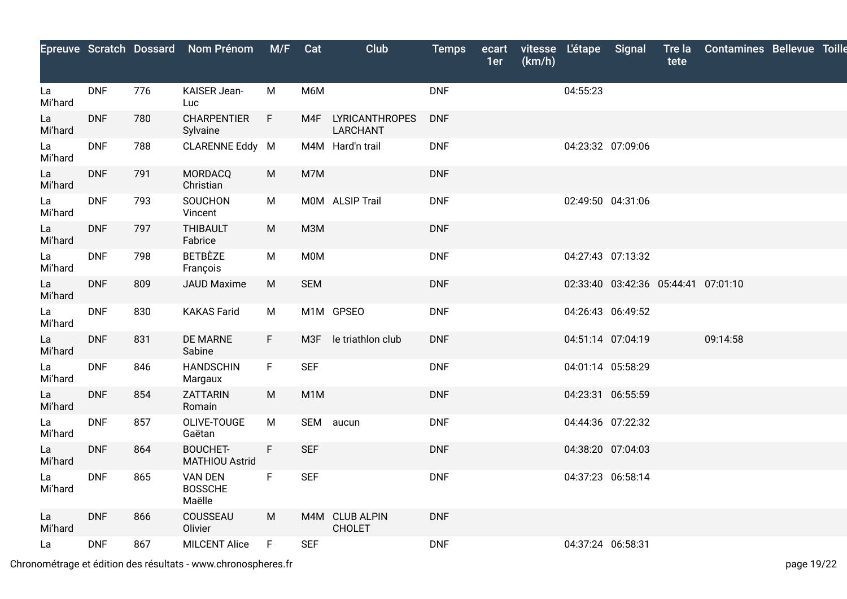|               |            |     | Epreuve Scratch Dossard Nom Prénom         | M/F | Cat              | Club                                     | <b>Temps</b> | ecart<br>1er | (km/h) | vitesse L'étape | Signal                              | tete | Tre la Contamines Bellevue Toille |  |
|---------------|------------|-----|--------------------------------------------|-----|------------------|------------------------------------------|--------------|--------------|--------|-----------------|-------------------------------------|------|-----------------------------------|--|
| La<br>Mi'hard | <b>DNF</b> | 776 | <b>KAISER Jean-</b><br>Luc.                | M   | M6M              |                                          | <b>DNF</b>   |              |        | 04:55:23        |                                     |      |                                   |  |
| La<br>Mi'hard | <b>DNF</b> | 780 | <b>CHARPENTIER</b><br>Sylvaine             | F.  | M4F              | <b>LYRICANTHROPES</b><br><b>LARCHANT</b> | <b>DNF</b>   |              |        |                 |                                     |      |                                   |  |
| La<br>Mi'hard | <b>DNF</b> | 788 | CLARENNE Eddy M                            |     |                  | M4M Hard'n trail                         | <b>DNF</b>   |              |        |                 | 04:23:32 07:09:06                   |      |                                   |  |
| La<br>Mi'hard | <b>DNF</b> | 791 | MORDACQ<br>Christian                       | M   | M7M              |                                          | <b>DNF</b>   |              |        |                 |                                     |      |                                   |  |
| La<br>Mi'hard | <b>DNF</b> | 793 | <b>SOUCHON</b><br>Vincent                  | M   |                  | MOM ALSIP Trail                          | <b>DNF</b>   |              |        |                 | 02:49:50 04:31:06                   |      |                                   |  |
| La<br>Mi'hard | <b>DNF</b> | 797 | <b>THIBAULT</b><br>Fabrice                 | M   | M3M              |                                          | <b>DNF</b>   |              |        |                 |                                     |      |                                   |  |
| La<br>Mi'hard | <b>DNF</b> | 798 | <b>BETBÈZE</b><br>François                 | M   | <b>M0M</b>       |                                          | <b>DNF</b>   |              |        |                 | 04:27:43 07:13:32                   |      |                                   |  |
| La<br>Mi'hard | <b>DNF</b> | 809 | <b>JAUD Maxime</b>                         | M   | <b>SEM</b>       |                                          | <b>DNF</b>   |              |        |                 | 02:33:40 03:42:36 05:44:41 07:01:10 |      |                                   |  |
| La<br>Mi'hard | <b>DNF</b> | 830 | <b>KAKAS Farid</b>                         | М   |                  | M1M GPSEO                                | <b>DNF</b>   |              |        |                 | 04:26:43 06:49:52                   |      |                                   |  |
| La<br>Mi'hard | <b>DNF</b> | 831 | DE MARNE<br>Sabine                         | F   | M3F              | le triathlon club                        | <b>DNF</b>   |              |        |                 | 04:51:14 07:04:19                   |      | 09:14:58                          |  |
| La<br>Mi'hard | <b>DNF</b> | 846 | <b>HANDSCHIN</b><br>Margaux                | F.  | <b>SEF</b>       |                                          | <b>DNF</b>   |              |        |                 | 04:01:14 05:58:29                   |      |                                   |  |
| La<br>Mi'hard | <b>DNF</b> | 854 | <b>ZATTARIN</b><br>Romain                  | M   | M <sub>1</sub> M |                                          | <b>DNF</b>   |              |        |                 | 04:23:31 06:55:59                   |      |                                   |  |
| La<br>Mi'hard | <b>DNF</b> | 857 | OLIVE-TOUGE<br>Gaëtan                      | M   | <b>SEM</b>       | aucun                                    | <b>DNF</b>   |              |        |                 | 04:44:36 07:22:32                   |      |                                   |  |
| La<br>Mi'hard | <b>DNF</b> | 864 | <b>BOUCHET-</b><br><b>MATHIOU Astrid</b>   | F   | <b>SEF</b>       |                                          | <b>DNF</b>   |              |        |                 | 04:38:20 07:04:03                   |      |                                   |  |
| La<br>Mi'hard | <b>DNF</b> | 865 | <b>VAN DEN</b><br><b>BOSSCHE</b><br>Maëlle | F.  | <b>SEF</b>       |                                          | <b>DNF</b>   |              |        |                 | 04:37:23 06:58:14                   |      |                                   |  |
| La<br>Mi'hard | <b>DNF</b> | 866 | COUSSEAU<br>Olivier                        | М   |                  | M4M CLUB ALPIN<br><b>CHOLET</b>          | <b>DNF</b>   |              |        |                 |                                     |      |                                   |  |
| La            | <b>DNF</b> | 867 | <b>MILCENT Alice</b>                       | F.  | <b>SEF</b>       |                                          | <b>DNF</b>   |              |        |                 | 04:37:24 06:58:31                   |      |                                   |  |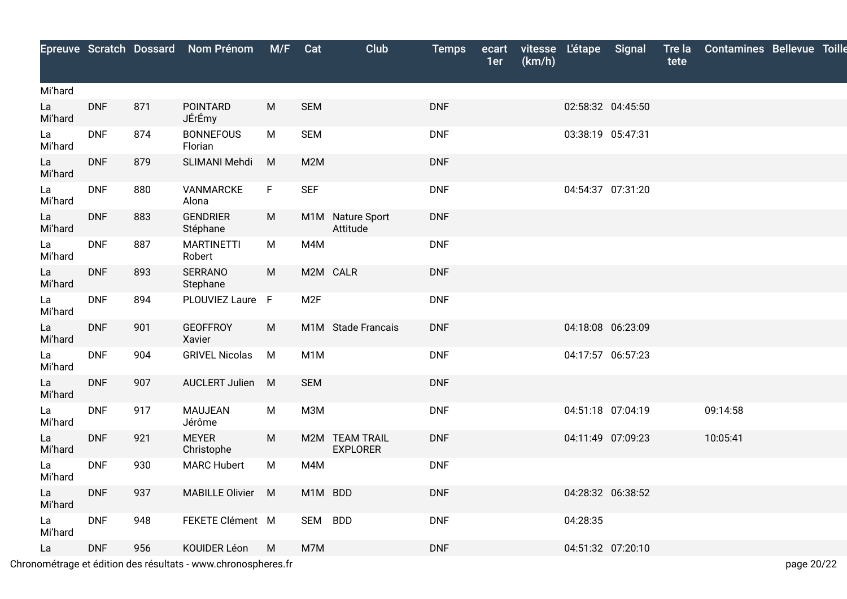|               |            |     | Epreuve Scratch Dossard Nom Prénom | M/F       | Cat              | Club                              | <b>Temps</b> | ecart<br>1er | (km/h) | vitesse L'étape | Signal            | Tre la<br>tete | <b>Contamines Bellevue Toille</b> |  |
|---------------|------------|-----|------------------------------------|-----------|------------------|-----------------------------------|--------------|--------------|--------|-----------------|-------------------|----------------|-----------------------------------|--|
| Mi'hard       |            |     |                                    |           |                  |                                   |              |              |        |                 |                   |                |                                   |  |
| La<br>Mi'hard | <b>DNF</b> | 871 | <b>POINTARD</b><br>JÉrÉmy          | M         | <b>SEM</b>       |                                   | <b>DNF</b>   |              |        |                 | 02:58:32 04:45:50 |                |                                   |  |
| La<br>Mi'hard | <b>DNF</b> | 874 | <b>BONNEFOUS</b><br>Florian        | M         | <b>SEM</b>       |                                   | <b>DNF</b>   |              |        |                 | 03:38:19 05:47:31 |                |                                   |  |
| La<br>Mi'hard | <b>DNF</b> | 879 | SLIMANI Mehdi                      | M         | M2M              |                                   | <b>DNF</b>   |              |        |                 |                   |                |                                   |  |
| La<br>Mi'hard | <b>DNF</b> | 880 | VANMARCKE<br>Alona                 | F         | <b>SEF</b>       |                                   | <b>DNF</b>   |              |        |                 | 04:54:37 07:31:20 |                |                                   |  |
| La<br>Mi'hard | <b>DNF</b> | 883 | <b>GENDRIER</b><br>Stéphane        | ${\sf M}$ |                  | M1M Nature Sport<br>Attitude      | <b>DNF</b>   |              |        |                 |                   |                |                                   |  |
| La<br>Mi'hard | <b>DNF</b> | 887 | <b>MARTINETTI</b><br>Robert        | M         | M4M              |                                   | <b>DNF</b>   |              |        |                 |                   |                |                                   |  |
| La<br>Mi'hard | <b>DNF</b> | 893 | <b>SERRANO</b><br>Stephane         | M         |                  | M2M CALR                          | <b>DNF</b>   |              |        |                 |                   |                |                                   |  |
| La<br>Mi'hard | <b>DNF</b> | 894 | PLOUVIEZ Laure F                   |           | M <sub>2F</sub>  |                                   | <b>DNF</b>   |              |        |                 |                   |                |                                   |  |
| La<br>Mi'hard | <b>DNF</b> | 901 | <b>GEOFFROY</b><br>Xavier          | M         |                  | M1M Stade Francais                | <b>DNF</b>   |              |        |                 | 04:18:08 06:23:09 |                |                                   |  |
| La<br>Mi'hard | <b>DNF</b> | 904 | <b>GRIVEL Nicolas</b>              | M         | M <sub>1</sub> M |                                   | <b>DNF</b>   |              |        |                 | 04:17:57 06:57:23 |                |                                   |  |
| La<br>Mi'hard | <b>DNF</b> | 907 | <b>AUCLERT Julien</b>              | M         | <b>SEM</b>       |                                   | <b>DNF</b>   |              |        |                 |                   |                |                                   |  |
| La<br>Mi'hard | <b>DNF</b> | 917 | <b>MAUJEAN</b><br>Jérôme           | M         | <b>МЗМ</b>       |                                   | <b>DNF</b>   |              |        |                 | 04:51:18 07:04:19 |                | 09:14:58                          |  |
| La<br>Mi'hard | <b>DNF</b> | 921 | <b>MEYER</b><br>Christophe         | ${\sf M}$ |                  | M2M TEAM TRAIL<br><b>EXPLORER</b> | <b>DNF</b>   |              |        |                 | 04:11:49 07:09:23 |                | 10:05:41                          |  |
| La<br>Mi'hard | <b>DNF</b> | 930 | <b>MARC Hubert</b>                 | M         | M4M              |                                   | <b>DNF</b>   |              |        |                 |                   |                |                                   |  |
| La<br>Mi'hard | <b>DNF</b> | 937 | <b>MABILLE Olivier</b>             | M         | M1M BDD          |                                   | <b>DNF</b>   |              |        |                 | 04:28:32 06:38:52 |                |                                   |  |
| La<br>Mi'hard | <b>DNF</b> | 948 | FEKETE Clément M                   |           | SEM BDD          |                                   | <b>DNF</b>   |              |        | 04:28:35        |                   |                |                                   |  |
| La            | <b>DNF</b> | 956 | KOUIDER Léon                       | M         | M7M              |                                   | <b>DNF</b>   |              |        |                 | 04:51:32 07:20:10 |                |                                   |  |
|               |            |     |                                    |           |                  |                                   |              |              |        |                 |                   |                |                                   |  |

Chronométrage et édition des résultats - www.chronospheres.fr page 20/22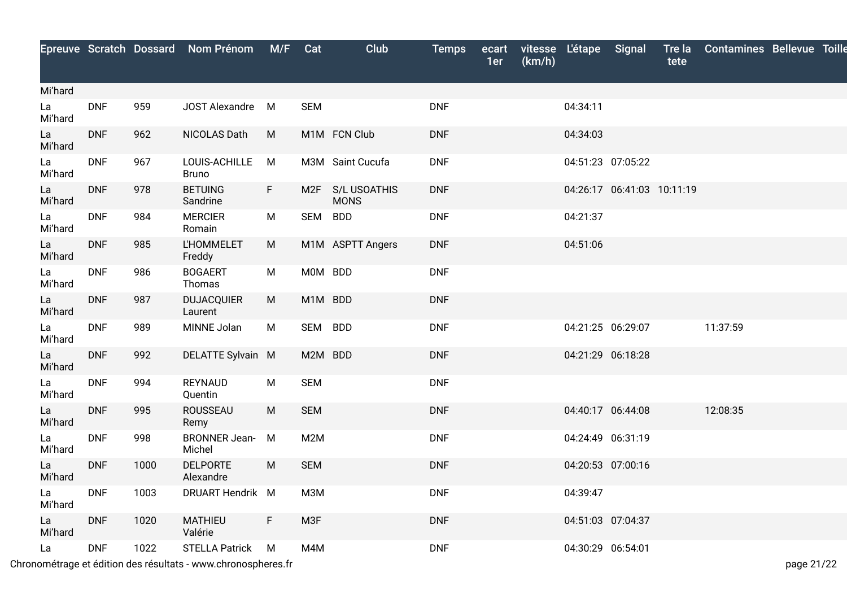|               |            |      | Epreuve Scratch Dossard Nom Prénom M/F Cat |    |            | Club                            | <b>Temps</b> | ecart<br>1er | (km/h) |                   | vitesse L'étape Signal     | Tre la<br>tete | <b>Contamines Bellevue Toille</b> |  |
|---------------|------------|------|--------------------------------------------|----|------------|---------------------------------|--------------|--------------|--------|-------------------|----------------------------|----------------|-----------------------------------|--|
| Mi'hard       |            |      |                                            |    |            |                                 |              |              |        |                   |                            |                |                                   |  |
| La<br>Mi'hard | <b>DNF</b> | 959  | JOST Alexandre M                           |    | <b>SEM</b> |                                 | <b>DNF</b>   |              |        | 04:34:11          |                            |                |                                   |  |
| La<br>Mi'hard | <b>DNF</b> | 962  | NICOLAS Dath                               | M  |            | M1M FCN Club                    | <b>DNF</b>   |              |        | 04:34:03          |                            |                |                                   |  |
| La<br>Mi'hard | <b>DNF</b> | 967  | LOUIS-ACHILLE<br><b>Bruno</b>              | M  |            | M3M Saint Cucufa                | <b>DNF</b>   |              |        |                   | 04:51:23 07:05:22          |                |                                   |  |
| La<br>Mi'hard | <b>DNF</b> | 978  | <b>BETUING</b><br>Sandrine                 | F  |            | M2F S/L USOATHIS<br><b>MONS</b> | <b>DNF</b>   |              |        |                   | 04:26:17 06:41:03 10:11:19 |                |                                   |  |
| La<br>Mi'hard | <b>DNF</b> | 984  | <b>MERCIER</b><br>Romain                   | M  | SEM BDD    |                                 | <b>DNF</b>   |              |        | 04:21:37          |                            |                |                                   |  |
| La<br>Mi'hard | <b>DNF</b> | 985  | <b>L'HOMMELET</b><br>Freddy                | M  |            | M1M ASPTT Angers                | <b>DNF</b>   |              |        | 04:51:06          |                            |                |                                   |  |
| La<br>Mi'hard | <b>DNF</b> | 986  | <b>BOGAERT</b><br>Thomas                   | M  | MOM BDD    |                                 | <b>DNF</b>   |              |        |                   |                            |                |                                   |  |
| La<br>Mi'hard | <b>DNF</b> | 987  | <b>DUJACQUIER</b><br>Laurent               | M  | M1M BDD    |                                 | <b>DNF</b>   |              |        |                   |                            |                |                                   |  |
| La<br>Mi'hard | <b>DNF</b> | 989  | MINNE Jolan                                | M  | SEM BDD    |                                 | <b>DNF</b>   |              |        |                   | 04:21:25 06:29:07          |                | 11:37:59                          |  |
| La<br>Mi'hard | <b>DNF</b> | 992  | DELATTE Sylvain M                          |    | M2M BDD    |                                 | <b>DNF</b>   |              |        | 04:21:29 06:18:28 |                            |                |                                   |  |
| La<br>Mi'hard | <b>DNF</b> | 994  | REYNAUD<br>Quentin                         | M  | <b>SEM</b> |                                 | <b>DNF</b>   |              |        |                   |                            |                |                                   |  |
| La<br>Mi'hard | <b>DNF</b> | 995  | ROUSSEAU<br>Remy                           | M  | <b>SEM</b> |                                 | <b>DNF</b>   |              |        |                   | 04:40:17 06:44:08          |                | 12:08:35                          |  |
| La<br>Mi'hard | <b>DNF</b> | 998  | BRONNER Jean- M<br>Michel                  |    | M2M        |                                 | <b>DNF</b>   |              |        | 04:24:49 06:31:19 |                            |                |                                   |  |
| La<br>Mi'hard | <b>DNF</b> | 1000 | <b>DELPORTE</b><br>Alexandre               | M  | <b>SEM</b> |                                 | <b>DNF</b>   |              |        | 04:20:53 07:00:16 |                            |                |                                   |  |
| La<br>Mi'hard | DNF        | 1003 | DRUART Hendrik M M3M                       |    |            |                                 | <b>DNF</b>   |              |        | 04:39:47          |                            |                |                                   |  |
| La<br>Mi'hard | <b>DNF</b> | 1020 | <b>MATHIEU</b><br>Valérie                  | F. | M3F        |                                 | <b>DNF</b>   |              |        |                   | 04:51:03 07:04:37          |                |                                   |  |
| La            | <b>DNF</b> | 1022 | <b>STELLA Patrick</b>                      | M  | M4M        |                                 | <b>DNF</b>   |              |        | 04:30:29 06:54:01 |                            |                |                                   |  |